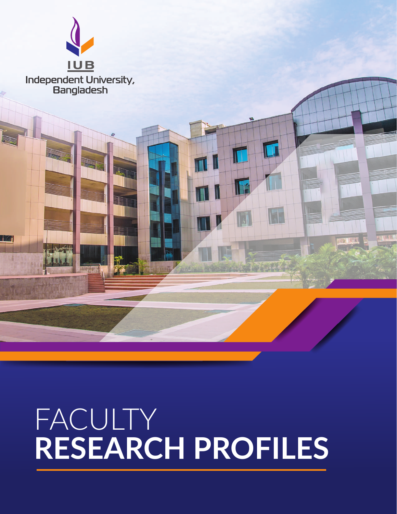

# FACULTY **RESEARCH PROFILES**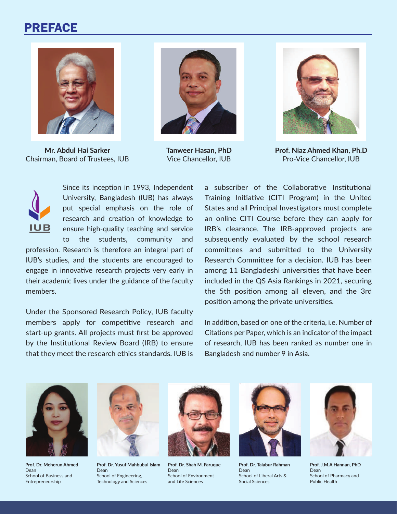#### PREFACE



**Mr. Abdul Hai Sarker** Chairman, Board of Trustees, IUB



**Tanweer Hasan, PhD** Vice Chancellor, IUB



**Prof. Niaz Ahmed Khan, Ph.D** Pro-Vice Chancellor, IUB



Since its inception in 1993, Independent University, Bangladesh (IUB) has always put special emphasis on the role of research and creation of knowledge to ensure high-quality teaching and service to the students, community and

profession. Research is therefore an integral part of IUB's studies, and the students are encouraged to engage in innovative research projects very early in their academic lives under the guidance of the faculty members.

Under the Sponsored Research Policy, IUB faculty members apply for competitive research and start-up grants. All projects must first be approved by the Institutional Review Board (IRB) to ensure that they meet the research ethics standards. IUB is a subscriber of the Collaborative Institutional Training Initiative (CITI Program) in the United States and all Principal Investigators must complete an online CITI Course before they can apply for IRB's clearance. The IRB-approved projects are subsequently evaluated by the school research committees and submitted to the University Research Committee for a decision. IUB has been among 11 Bangladeshi universities that have been included in the QS Asia Rankings in 2021, securing the 5th position among all eleven, and the 3rd position among the private universities.

In addition, based on one of the criteria, i.e. Number of Citations per Paper, which is an indicator of the impact of research, IUB has been ranked as number one in Bangladesh and number 9 in Asia.



**Prof. Dr. Meherun Ahmed** Dean School of Business and Entrepreneurship



**Prof. Dr. Yusuf Mahbubul Islam** Dean School of Engineering, Technology and Sciences



**Prof. Dr. Shah M. Faruque** Dean School of Environment and Life Sciences



**Prof. Dr. Taiabur Rahman** Dean School of Liberal Arts & Social Sciences



**Prof. J.M.A Hannan, PhD** Dean School of Pharmacy and Public Health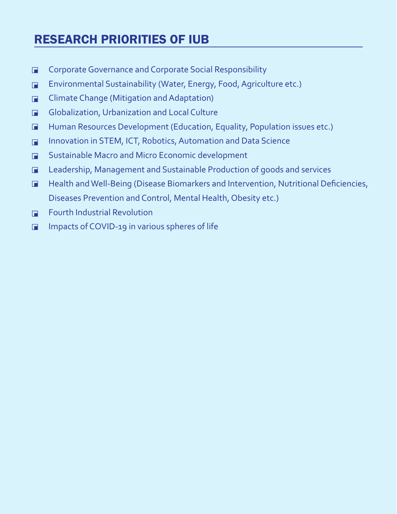## RESEARCH PRIORITIES OF IUB

- Corporate Governance and Corporate Social Responsibility  $\blacksquare$
- Environmental Sustainability (Water, Energy, Food, Agriculture etc.)  $\blacksquare$
- Climate Change (Mitigation and Adaptation)  $\Box$
- Globalization, Urbanization and Local Culture  $\blacksquare$
- Human Resources Development (Education, Equality, Population issues etc.)  $\blacksquare$
- Innovation in STEM, ICT, Robotics, Automation and Data Science  $\blacksquare$
- Sustainable Macro and Micro Economic development  $\Box$
- Leadership, Management and Sustainable Production of goods and services  $\Box$
- Health and Well-Being (Disease Biomarkers and Intervention, Nutritional Deficiencies,  $\blacksquare$ Diseases Prevention and Control, Mental Health, Obesity etc.)
- Fourth Industrial Revolution  $\blacksquare$
- Impacts of COVID-19 in various spheres of life $\Box$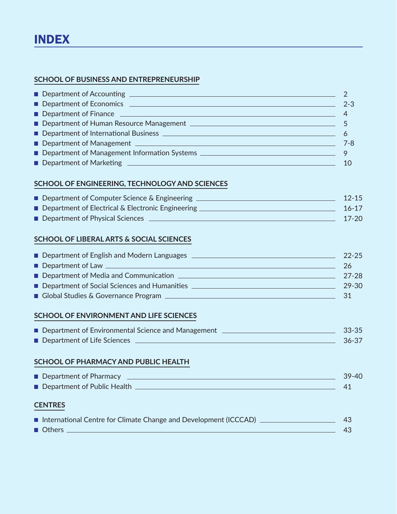#### **SCHOOL OF BUSINESS AND ENTREPRENEURSHIP**

| Department of Economics <b>Department</b> of Economics <b>Department</b><br><u>a sa mga salawang mga sangayong mga sangayong mga sangayong mga sangayong mga sangayong mga sangayong mga sang</u> | $2 - 3$ |
|---------------------------------------------------------------------------------------------------------------------------------------------------------------------------------------------------|---------|
|                                                                                                                                                                                                   |         |
|                                                                                                                                                                                                   |         |
|                                                                                                                                                                                                   |         |
|                                                                                                                                                                                                   | $7 - 8$ |
|                                                                                                                                                                                                   |         |
|                                                                                                                                                                                                   |         |

#### **SCHOOL OF ENGINEERING, TECHNOLOGY AND SCIENCES**

| ■ Department of Computer Science & Engineering      | $12 - 15$ |
|-----------------------------------------------------|-----------|
| ■ Department of Electrical & Electronic Engineering | 16-17     |
| Department of Physical Sciences                     | $17-20$   |

#### **SCHOOL OF LIBERAL ARTS & SOCIAL SCIENCES**

| Department of English and Modern Languages     | $22 - 25$ |
|------------------------------------------------|-----------|
| Department of Law                              | 26        |
| Department of Media and Communication          | -27-28    |
| ■ Department of Social Sciences and Humanities | 29-30     |
| Global Studies & Governance Program            | -31       |

#### **SCHOOL OF ENVIRONMENT AND LIFE SCIENCES**

| ■ Department of Environmental Science and Management | $33 - 35$ |
|------------------------------------------------------|-----------|
| Department of Life Sciences                          | 36-37     |

#### **SCHOOL OF PHARMACY AND PUBLIC HEALTH**

| Department of Pharmacy      | $39 - 40$ |
|-----------------------------|-----------|
| Department of Public Health |           |

#### **CENTRES**

| International Centre for Climate Change and Development (ICCCAD) |  |
|------------------------------------------------------------------|--|
| ■ Others                                                         |  |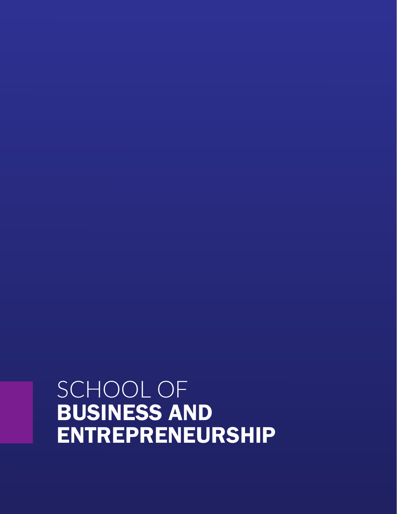## SCHOOL OF BUSINESS AND ENTREPRENEURSHIP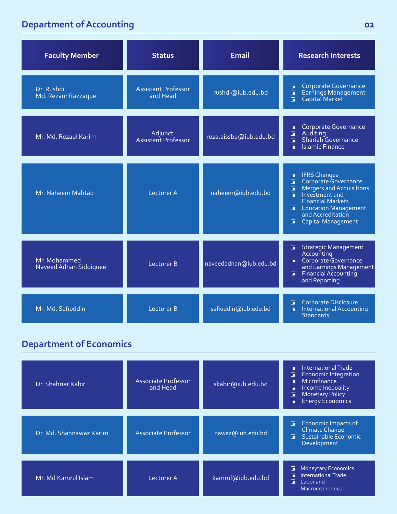### **Department of Accounting**

| <b>Faculty Member</b>                  | <b>Status</b>                          | <b>Email</b>           | <b>Research Interests</b>                                                                                                                                                                                                                                             |
|----------------------------------------|----------------------------------------|------------------------|-----------------------------------------------------------------------------------------------------------------------------------------------------------------------------------------------------------------------------------------------------------------------|
| Dr. Rushdi<br>Md. Rezaur Razzaque      | <b>Assistant Professor</b><br>and Head | rushdi@iub.edu.bd      | Corporate Governance<br>П<br>Earnings Management<br>Capital Market<br>$\Box$<br>$\Box$                                                                                                                                                                                |
| Mr. Md. Rezaul Karim                   | Adjunct<br>Assistant Professor         | reza.aissbe@iub.edu.bd | Corporate Governance<br>П<br>Auditing<br>$\Box$<br>Shariah Governance<br>$\Box$<br><b>Islamic Finance</b><br>$\blacksquare$                                                                                                                                           |
| Mr. Naheem Mahtab                      | Lecturer A                             | naheem@iub.edu.bd      | <b>IFRS Changes</b><br>$\Box$<br>Corporate Governance<br>$\Box$<br>Mergers and Acquisitions<br>$\Box$<br>Investment and<br>$\Box$<br><b>Financial Markets</b><br><b>Education Management</b><br>$\blacksquare$<br>and Accreditation<br><b>Capital Management</b><br>п |
| Mr. Mohammed<br>Naveed Adnan Siddiquee | Lecturer B                             | naveedadnan@iub.edu.bd | <b>Strategic Management</b><br>П<br>Accounting<br>Corporate Governance<br>п<br>and Earnings Management<br>Financial Accounting<br>п<br>and Reporting                                                                                                                  |
| Mr. Md. Safiuddin                      | Lecturer B                             | safiuddin@iub.edu.bd   | <b>Corporate Disclosure</b><br>$\blacksquare$<br>International Accounting<br>$\blacksquare$<br><b>Standards</b>                                                                                                                                                       |

#### **Department of Economics**

| Dr. Shahriar Kabir      | Associate Professor<br>and Head | skabir@iub.edu.bd | International Trade<br>П<br><b>Economic Integration</b><br>Œ.<br>Microfinance<br>П<br>Income Inequality<br>П<br><b>Monetary Policy</b><br>п<br><b>Energy Economics</b><br>F |
|-------------------------|---------------------------------|-------------------|-----------------------------------------------------------------------------------------------------------------------------------------------------------------------------|
| Dr. Md. Shahnawaz Karim | Associate Professor             | nawaz@iub.edu.bd  | Economic Impacts of<br>F<br>Climate Change<br>Sustainable Economic<br>F.<br>Development                                                                                     |
| Mr. Md Kamrul Islam     | Lecturer A                      | kamrul@iub.edu.bd | <b>Moneytary Economics</b><br>G<br><b>International Trade</b><br>П<br>П<br>Labor and<br><b>Macroeconomics</b>                                                               |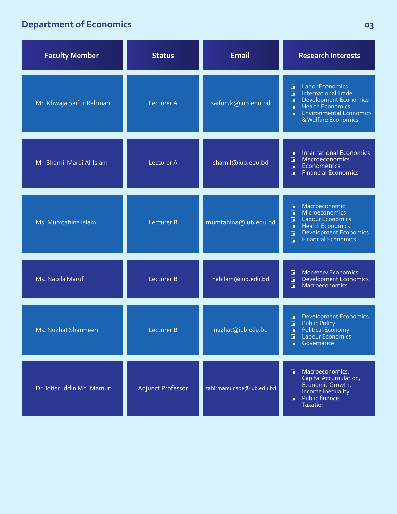### **Department of Economics**

| <b>Faculty Member</b>      | <b>Status</b>            | <b>Email</b>             | <b>Research Interests</b>                                                                                                                                                                                           |
|----------------------------|--------------------------|--------------------------|---------------------------------------------------------------------------------------------------------------------------------------------------------------------------------------------------------------------|
| Mr. Khwaja Saifur Rahman   | Lecturer A               | saifur2k@iub.edu.bd      | <b>Labor Economics</b><br>П<br><b>International Trade</b><br>F.<br><b>Development Economics</b><br>$\Box$<br>Health Economics<br>$\Box$<br><b>Environmental Economics</b><br>$\Box$<br>& Welfare Economics          |
| Mr. Shamil Mardi Al-Islam  | Lecturer A               | shamil@iub.edu.bd        | <b>International Economics</b><br>П<br>$\blacksquare$<br>Macroeconomics<br><b>Econometrics</b><br>$\blacksquare$<br><b>Financial Economics</b><br>$\Box$                                                            |
| Ms. Mumtahina Islam        | Lecturer B               | mumtahina@iub.edu.bd     | Macroeconomic<br>G.<br>Microeconomics<br>$\Box$<br><b>Labour Economics</b><br>$\Box$<br><b>Health Economics</b><br>$\Box$<br><b>Development Economics</b><br>$\blacksquare$<br><b>Financial Economics</b><br>$\Box$ |
| Ms. Nabila Maruf           | <b>Lecturer B</b>        | nabilam@iub.edu.bd       | <b>Monetary Economics</b><br>$\Box$<br>Development Economics<br>$\Box$<br>Macroeconomics<br>$\Box$                                                                                                                  |
| <b>Ms. Nuzhat Sharmeen</b> | Lecturer B               | nuzhat@iub.edu.bd        | <b>Development Economics</b><br>G<br><b>Public Policy</b><br>$\blacksquare$<br>ш<br>Political Economy<br>$\Box$ Labour Economics<br>Governance<br>$\square$                                                         |
| Dr. Iqtiaruddin Md. Mamun  | <b>Adjunct Professor</b> | zabirmamunsbe@iub.edu.bd | Macroeconomics:<br>Capital Accumulation,<br>Economic Growth,<br>Income Inequality<br>Public finance:<br>$\blacksquare$<br><b>Taxation</b>                                                                           |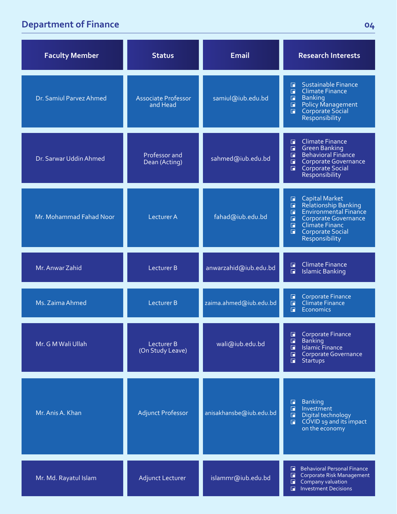### **Department of Finance 04**

| <b>Faculty Member</b>   | <b>Status</b>                          | <b>Email</b>            | <b>Research Interests</b>                                                                                                                                                                                                            |
|-------------------------|----------------------------------------|-------------------------|--------------------------------------------------------------------------------------------------------------------------------------------------------------------------------------------------------------------------------------|
| Dr. Samiul Parvez Ahmed | <b>Associate Professor</b><br>and Head | samiul@iub.edu.bd       | Sustainable Finance<br>П<br><b>Climate Finance</b><br>$\Box$<br><b>Banking</b><br>$\blacksquare$<br>Policy Management<br>Corporate Social<br>$\blacksquare$<br>$\blacksquare$<br><b>Responsibility</b>                               |
| Dr. Sarwar Uddin Ahmed  | Professor and<br>Dean (Acting)         | sahmed@iub.edu.bd       | <b>Climate Finance</b><br>G.<br><b>Green Banking</b><br>$\Box$<br><b>Behavioral Finance</b><br>$\Box$<br>Corporate Governance<br>$\Box$<br>Corporate Social<br>$\Box$<br>Responsibility                                              |
| Mr. Mohammad Fahad Noor | <b>Lecturer A</b>                      | fahad@iub.edu.bd        | <b>Capital Market</b><br>П<br>Relationship Banking<br>Environmental Finance<br>$\Box$<br>$\Box$<br>Corporate Governance<br>$\Box$<br>Climate Financ<br>$\blacksquare$<br>$\blacksquare$<br><b>Corporate Social</b><br>Responsibility |
| Mr. Anwar Zahid         | Lecturer B                             | anwarzahid@iub.edu.bd   | <b>Climate Finance</b><br>$\Box$<br>$\blacksquare$<br><b>Islamic Banking</b>                                                                                                                                                         |
| Ms. Zaima Ahmed         | <b>Lecturer B</b>                      | zaima.ahmed@iub.edu.bd  | <b>Corporate Finance</b><br>$\Box$<br>Climate Finance<br>$\blacksquare$<br>F<br>Economics                                                                                                                                            |
| Mr. G M Wali Ullah      | Lecturer B<br>(On Study Leave)         | wali@iub.edu.bd         | Corporate Finance<br>G<br><b>Banking</b><br>$\Box$<br><b>Islamic Finance</b><br>G.<br>Corporate Governance<br>$\Box$<br>П<br><b>Startups</b>                                                                                         |
| Mr. Anis A. Khan        | <b>Adjunct Professor</b>               | anisakhansbe@iub.edu.bd | <b>Banking</b><br>$\Box$<br>$\blacksquare$<br>Investment<br>$\blacksquare$<br>Digital technology<br>COVID 19 and its impact<br>$\blacksquare$<br>on the economy                                                                      |
| Mr. Md. Rayatul Islam   | <b>Adjunct Lecturer</b>                | islammr@iub.edu.bd      | <b>Behavioral Personal Finance</b><br>F.<br>Corporate Risk Management<br>$\Box$<br>Company valuation<br>$\Box$<br><b>Investment Decisions</b><br>F.                                                                                  |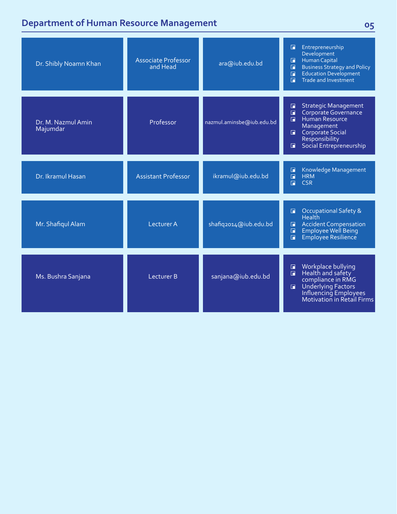#### **Department of Human Resource Management**

| Dr. Shibly Noamn Khan          | <b>Associate Professor</b><br>and Head | ara@iub.edu.bd            | Entrepreneurship<br>$\blacksquare$<br>Development<br>Human Capital<br>$\Box$<br><b>Business Strategy and Policy</b><br>$\Box$<br><b>Education Development</b><br>$\blacksquare$<br><b>Trade and Investment</b><br>F. |
|--------------------------------|----------------------------------------|---------------------------|----------------------------------------------------------------------------------------------------------------------------------------------------------------------------------------------------------------------|
| Dr. M. Nazmul Amin<br>Majumdar | Professor                              | nazmul.aminsbe@iub.edu.bd | <b>Strategic Management</b><br>$\Box$<br>Corporate Governance<br>П<br>Human Resource<br>$\Box$<br>Management<br><b>Corporate Social</b><br>п.<br>Responsibility<br>Social Entrepreneurship<br>п                      |
| Dr. Ikramul Hasan              | <b>Assistant Professor</b>             | ikramul@iub.edu.bd        | Knowledge Management<br>$\blacksquare$<br>$\blacksquare$<br><b>HRM</b><br>$\Box$<br><b>CSR</b>                                                                                                                       |
| Mr. Shafiqul Alam              | Lecturer A                             | shafiq2014@iub.edu.bd     | <b>Occupational Safety &amp;</b><br>$\Box$<br><b>Health</b><br><b>Accident Compensation</b><br>$\Box$<br>Employee Well Being<br>$\blacksquare$<br>Employee Resilience<br>$\blacksquare$                              |
| Ms. Bushra Sanjana             | Lecturer B                             | sanjana@iub.edu.bd        | Workplace bullying<br>$\blacksquare$<br>Health and safety<br>$\blacksquare$<br>compliance in RMG<br>Underlying Factors<br>Influencing Employees<br>Motivation in Retail Firms<br>$\Box$                              |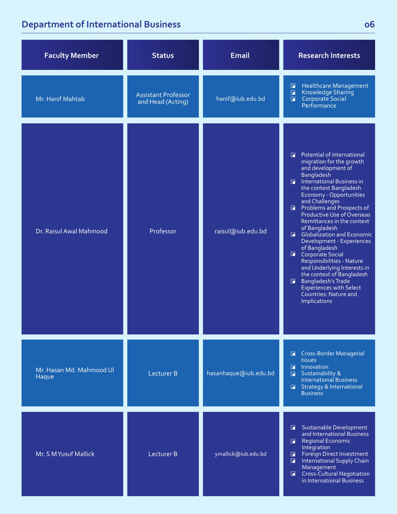### **Department of International Business**

| <b>Faculty Member</b>             | <b>Status</b>                                   | <b>Email</b>          | <b>Research Interests</b>                                                                                                                                                                                                                                                                                                                                                                                                                                                                                                                                                                                                                               |
|-----------------------------------|-------------------------------------------------|-----------------------|---------------------------------------------------------------------------------------------------------------------------------------------------------------------------------------------------------------------------------------------------------------------------------------------------------------------------------------------------------------------------------------------------------------------------------------------------------------------------------------------------------------------------------------------------------------------------------------------------------------------------------------------------------|
| Mr. Hanif Mahtab                  | <b>Assistant Professor</b><br>and Head (Acting) | hanif@iub.edu.bd      | <b>Healthcare Management</b><br>$\Box$<br>Knowledge Sharing<br>$\Box$<br>Corporate Social<br>$\blacksquare$<br>Performance                                                                                                                                                                                                                                                                                                                                                                                                                                                                                                                              |
| Dr. Raisul Awal Mahmood           | Professor                                       | raisul@iub.edu.bd     | Potential of international<br>п<br>migration for the growth<br>and development of<br><b>Bangladesh</b><br>$\Box$ International Business in<br>the context Bangladesh<br>Economy - Opportunities<br>and Challenges<br><b>F</b> Problems and Prospects of<br>Productive Use of Overseas<br>Remittances in the context<br>of Bangladesh<br><b>Globalization and Economic</b><br>Development - Experiences<br>of Bangladesh<br>Corporate Social<br>Responsibilities - Nature<br>and Underlying Interests in<br>the context of Bangladesh<br>Bangladesh's Trade<br>$\blacksquare$<br><b>Experiences with Select</b><br>Countries: Nature and<br>Implications |
| Mr. Hasan Md. Mahmood Ul<br>Haque | <b>Lecturer B</b>                               | hasanhaque@iub.edu.bd | <b>Cross-Border Managerial</b><br>$\blacksquare$<br><b>Issues</b><br>$\Box$ Innovation<br><b>B</b> Sustainability &<br><b>International Business</b><br><b>E</b> Strategy & International<br><b>Business</b>                                                                                                                                                                                                                                                                                                                                                                                                                                            |
| Mr. S MYusuf Mallick              | Lecturer B                                      | ymallick@iub.edu.bd   | <b>Sustainable Development</b><br>and International Business<br><b>Regional Economic</b><br>G.<br>Integration<br><b>Foreign Direct Investment</b><br>$\Box$<br>International Supply Chain<br>$\blacksquare$<br>Management<br><b>Cross-Cultural Negotiation</b><br>$\blacksquare$<br>in International Business                                                                                                                                                                                                                                                                                                                                           |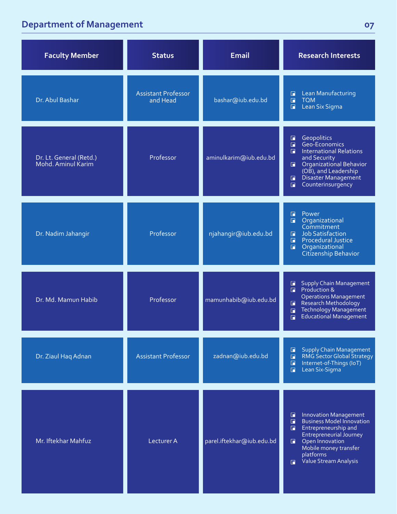### **Department of Management**

| <b>Faculty Member</b>                         | <b>Status</b>                          | <b>Email</b>              | <b>Research Interests</b>                                                                                                                                                                                                                                             |
|-----------------------------------------------|----------------------------------------|---------------------------|-----------------------------------------------------------------------------------------------------------------------------------------------------------------------------------------------------------------------------------------------------------------------|
| Dr. Abul Bashar                               | <b>Assistant Professor</b><br>and Head | bashar@iub.edu.bd         | Lean Manufacturing<br>$\Box$<br>$\Box$<br><b>TQM</b><br>Lean Six Sigma<br>$\Box$                                                                                                                                                                                      |
| Dr. Lt. General (Retd.)<br>Mohd. Aminul Karim | Professor                              | aminulkarim@iub.edu.bd    | Geopolitics<br>$\Box$<br>Geo-Economics<br>$\Box$<br><b>International Relations</b><br>п<br>and Security<br>Organizational Behavior<br>$\blacksquare$<br>(OB), and Leadership<br>Disaster Management<br>$\Box$<br>Counterinsurgency<br>$\overline{\blacksquare}$       |
| Dr. Nadim Jahangir                            | Professor                              | njahangir@iub.edu.bd      | Power<br>G<br>Organizational<br>$\Box$<br>Commitment<br>Job Satisfaction<br>$\Box$<br>$\Box$<br><b>Procedural Justice</b><br>Organizational<br>$\Box$<br>Citizenship Behavior                                                                                         |
| Dr. Md. Mamun Habib                           | Professor                              | mamunhabib@iub.edu.bd     | <b>Supply Chain Management</b><br>$\blacksquare$<br>Production &<br>п<br><b>Operations Management</b><br>Research Methodology<br>E<br>Technology Management<br>$\Box$<br>Educational Management<br>$\Box$                                                             |
| Dr. Ziaul Haq Adnan                           | <b>Assistant Professor</b>             | zadnan@iub.edu.bd         | <b>Supply Chain Management</b><br>$\Box$<br>RMG Sector Global Strategy<br>$\Box$<br>Internet-of-Things (IoT)<br>$\blacksquare$<br>Lean Six-Sigma<br>$\Box$                                                                                                            |
| Mr. Iftekhar Mahfuz                           | Lecturer A                             | parel.iftekhar@iub.edu.bd | <b>Innovation Management</b><br>F<br>$\blacksquare$<br><b>Business Model Innovation</b><br>Entrepreneurship and<br>$\blacksquare$<br><b>Entrepreneurial Journey</b><br>Open Innovation<br>同.<br>Mobile money transfer<br>platforms<br>Value Stream Analysis<br>$\Box$ |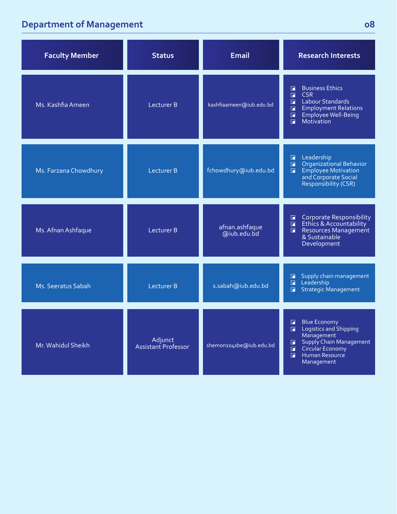### **Department of Management**

| <b>Faculty Member</b> | <b>Status</b>                  | <b>Email</b>                  | <b>Research Interests</b>                                                                                                                                                                        |
|-----------------------|--------------------------------|-------------------------------|--------------------------------------------------------------------------------------------------------------------------------------------------------------------------------------------------|
| Ms. Kashfia Ameen     | Lecturer B                     | kashfiaameen@iub.edu.bd       | <b>Business Ethics</b><br>G<br>$\Box$<br><b>CSR</b><br><b>Labour Standards</b><br>П<br><b>Employment Relations</b><br>П<br>$\blacksquare$<br>Employee Well-Being<br>Motivation<br>$\blacksquare$ |
| Ms. Farzana Chowdhury | Lecturer B                     | fchowdhury@iub.edu.bd         | Leadership<br>G<br>Organizational Behavior<br>$\square$<br><b>Employee Motivation</b><br>R<br>and Corporate Social<br>Responsibility (CSR)                                                       |
| Ms. Afnan Ashfaque    | Lecturer B                     | afnan.ashfaque<br>@iub.edu.bd | <b>Corporate Responsibility</b><br>G.<br>Ethics & Accountability<br>$\Box$<br>Resources Management<br>$\blacksquare$<br>& Sustainable<br>Development                                             |
| Ms. Seeratus Sabah    | Lecturer B                     | s.sabah@iub.edu.bd            | Supply chain management<br>G<br>Leadership<br>$\Box$<br>Strategic Management<br>$\Box$                                                                                                           |
| Mr. Wahidul Sheikh    | Adjunct<br>Assistant Professor | shemon104sbe@iub.edu.bd       | <b>Blue Economy</b><br>$\Box$<br>Logistics and Shipping<br>п<br>Management<br>Supply Chain Management<br>п<br>Circular Economy<br>$\blacksquare$<br>F.<br>Human Resource<br>Management           |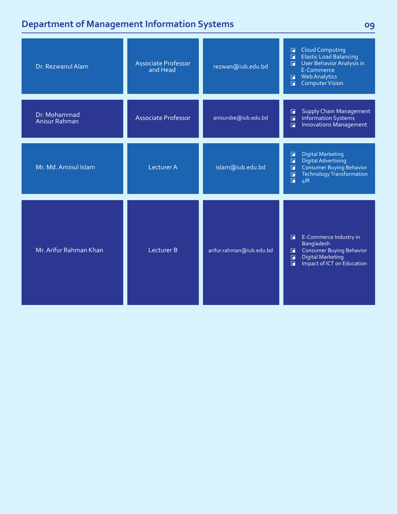### **Department of Management Information Systems 09**

| Dr. Rezwanul Alam             | <b>Associate Professor</b><br>and Head | rezwan@iub.edu.bd        | <b>Cloud Computing</b><br>$\Box$<br><b>Elastic Load Balancing</b><br>$\Box$<br>User Behavior Analysis in<br>$\Box$<br>E-Commerce<br><b>Web Analytics</b><br>$\blacksquare$<br><b>Computer Vision</b><br>F |
|-------------------------------|----------------------------------------|--------------------------|-----------------------------------------------------------------------------------------------------------------------------------------------------------------------------------------------------------|
| Dr. Mohammad<br>Anisur Rahman | <b>Associate Professor</b>             | anisursbe@iub.edu.bd     | <b>Supply Chain Management</b><br>$\Box$<br>Information Systems<br>$\Box$<br>Innovations Management<br>$\Box$                                                                                             |
| Mr. Md. Aminul Islam          | Lecturer A                             | islam@iub.edu.bd         | <b>Digital Marketing</b><br>$\Box$<br><b>Digital Advertising</b><br>$\Box$<br><b>Consumer Buying Behavior</b><br>$\Box$<br><b>Technology Transformation</b><br>$\Box$<br>$\Box$<br>4IR                    |
| Mr. Arifur Rahman Khan        | Lecturer B                             | arifur.rahman@iub.edu.bd | E-Commerce Industry in<br>E<br><b>Bangladesh</b><br><b>Consumer Buying Behavior</b><br>$\Box$<br><b>Digital Marketing</b><br>$\Box$<br>$\overline{\blacksquare}$<br>Impact of ICT on Education            |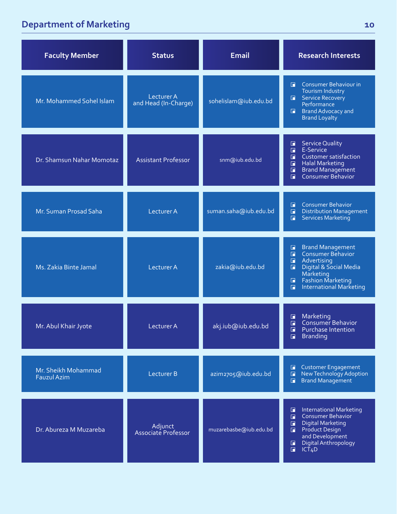### **Department of Marketing**

| <b>Faculty Member</b>                     | <b>Status</b>                             | <b>Email</b>           | <b>Research Interests</b>                                                                                                                                                                                                                               |
|-------------------------------------------|-------------------------------------------|------------------------|---------------------------------------------------------------------------------------------------------------------------------------------------------------------------------------------------------------------------------------------------------|
| Mr. Mohammed Sohel Islam                  | <b>Lecturer A</b><br>and Head (In-Charge) | sohelislam@iub.edu.bd  | Consumer Behaviour in<br>$\Box$<br>Tourism Industry<br>Service Recovery<br>G.<br>Performance<br><b>Brand Advocacy and</b><br>$\blacksquare$<br><b>Brand Loyalty</b>                                                                                     |
| Dr. Shamsun Nahar Momotaz                 | <b>Assistant Professor</b>                | snm@iub.edu.bd         | <b>Service Quality</b><br>$\Box$<br>E-Service<br>$\Box$<br>Customer satisfaction<br>Ħ<br>$\Box$<br><b>Halal Marketing</b><br><b>Brand Management</b><br>Consumer Behavior<br>$\blacksquare$<br>$\Box$                                                   |
| Mr. Suman Prosad Saha                     | Lecturer A                                | suman.saha@iub.edu.bd  | <b>Consumer Behavior</b><br>$\blacksquare$<br><b>Distribution Management</b><br>$\Box$<br><b>Services Marketing</b><br>$\blacksquare$                                                                                                                   |
| Ms. Zakia Binte Jamal                     | Lecturer A                                | zakia@iub.edu.bd       | <b>Brand Management</b><br>$\blacksquare$<br>Consumer Behavior<br>$\overline{\blacksquare}$<br>Advertising<br>$\Box$<br>$\Box$<br>Digital & Social Media<br>Marketing<br><b>Fashion Marketing</b><br>$\Box$<br><b>International Marketing</b><br>$\Box$ |
| Mr. Abul Khair Jyote                      | Lecturer A                                | akj.iub@iub.edu.bd     | Marketing<br>E<br>Consumer Behavior<br>$\blacksquare$<br>$\blacksquare$<br>Purchase Intention<br><b>Branding</b><br>П                                                                                                                                   |
| Mr. Sheikh Mohammad<br><b>Fauzul Azim</b> | <b>Lecturer B</b>                         | azim2705@iub.edu.bd    | <b>Customer Engagement</b><br>匠<br>New Technology Adoption<br>$\Box$<br><b>Brand Management</b><br>面                                                                                                                                                    |
| Dr. Abureza M Muzareba                    | Adjunct<br>Associate Professor            | muzarebasbe@iub.edu.bd | <b>International Marketing</b><br>囗<br><b>Consumer Behavior</b><br>$\Box$<br><b>Digital Marketing</b><br>$\Box$<br><b>Product Design</b><br>$\Box$<br>and Development<br>Digital Anthropology<br>$\Box$<br>$\Box$<br>ICT <sub>4</sub> D                 |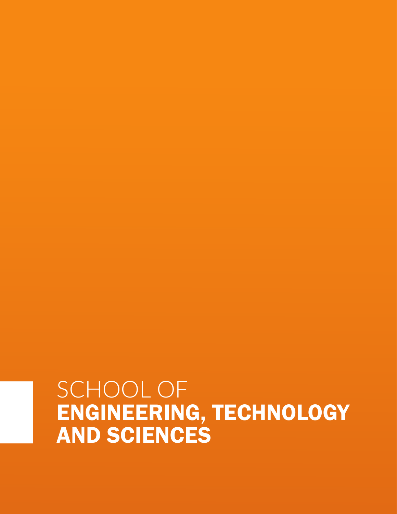## SCHOOL OF ENGINEERING, TECHNOLOGY AND SCIENCES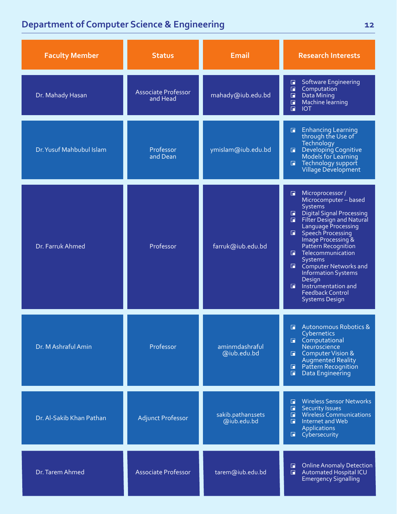| <b>Faculty Member</b>    | <b>Status</b>                          | <b>Email</b>                     | <b>Research Interests</b>                                                                                                                                                                                                                                                                                                                                                                                                                                                     |
|--------------------------|----------------------------------------|----------------------------------|-------------------------------------------------------------------------------------------------------------------------------------------------------------------------------------------------------------------------------------------------------------------------------------------------------------------------------------------------------------------------------------------------------------------------------------------------------------------------------|
| Dr. Mahady Hasan         | <b>Associate Professor</b><br>and Head | mahady@iub.edu.bd                | <b>Software Engineering</b><br>$\Box$<br>Computation<br>$\Box$<br>Data Mining<br>$\Box$<br>Machine learning<br>$\mathbf{E}$<br>$\Box$<br><b>IOT</b>                                                                                                                                                                                                                                                                                                                           |
| Dr. Yusuf Mahbubul Islam | Professor<br>and Dean                  | ymislam@iub.edu.bd               | <b>Enhancing Learning</b><br>F.<br>through the Use of<br>Technology<br>Developing Cognitive<br>Models for Learning<br>$\blacksquare$<br><b>E</b> Technology support<br>Village Development                                                                                                                                                                                                                                                                                    |
| Dr. Farruk Ahmed         | Professor                              | farruk@iub.edu.bd                | Microprocessor /<br>$\blacksquare$<br>Microcomputer-based<br>Systems<br><b>Digital Signal Processing</b><br>G.<br>Filter Design and Natural<br>$\blacksquare$<br>Language Processing<br>Speech Processing<br>$\blacksquare$<br>Image Processing &<br>Pattern Recognition<br><b>E</b> Telecommunication<br><b>Systems</b><br><b>E</b> Computer Networks and<br><b>Information Systems</b><br>Design<br>Instrumentation and<br><b>Feedback Control</b><br><b>Systems Design</b> |
| Dr. M Ashraful Amin      | Professor                              | aminmdashraful<br>@iub.edu.bd    | Autonomous Robotics &<br>Cybernetics<br>Computational<br>Neuroscience<br>Computer Vision &<br>Augmented Reality<br>Pattern Recognition<br>$\blacksquare$<br>Data Engineering<br>$\blacksquare$                                                                                                                                                                                                                                                                                |
| Dr. Al-Sakib Khan Pathan | <b>Adjunct Professor</b>               | sakib.pathan1sets<br>@iub.edu.bd | <b>Wireless Sensor Networks</b><br>F.<br><b>Security Issues</b><br>$\blacksquare$<br><b>Wireless Communications</b><br>$\Box$<br>Internet and Web<br>$\blacksquare$<br><b>Applications</b><br>Cybersecurity                                                                                                                                                                                                                                                                   |
| Dr. Tarem Ahmed          | <b>Associate Professor</b>             | tarem@iub.edu.bd                 | <b>Online Anomaly Detection</b><br>G.<br>Automated Hospital ICU<br>$\Box$<br><b>Emergency Signalling</b>                                                                                                                                                                                                                                                                                                                                                                      |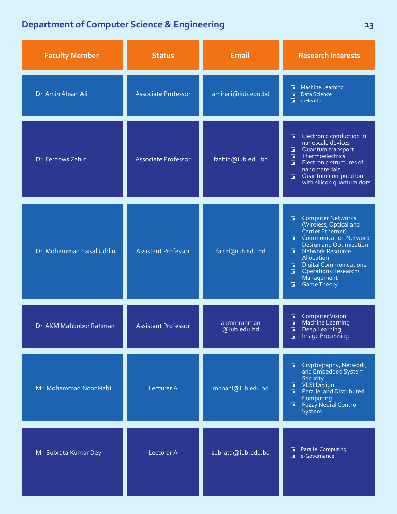| <b>Faculty Member</b>     | <b>Status</b>              | <b>Email</b>              | <b>Research Interests</b>                                                                                                                                                                                                                                                                                                           |
|---------------------------|----------------------------|---------------------------|-------------------------------------------------------------------------------------------------------------------------------------------------------------------------------------------------------------------------------------------------------------------------------------------------------------------------------------|
| Dr. Amin Ahsan Ali        | <b>Associate Professor</b> | aminali@iub.edu.bd        | <b>Machine Learning</b><br>$\Box$<br>Data Science<br>$\Box$<br>$\blacksquare$<br>mHealth                                                                                                                                                                                                                                            |
| Dr. Ferdows Zahid         | <b>Associate Professor</b> | fzahid@iub.edu.bd         | Electronic conduction in<br>F<br>nanoscale devices<br>Quantum transport<br>П<br>Thermoelectrics<br>$\Box$<br>Electronic structures of<br>R<br>nanomaterials<br>Quantum computation<br>$\Box$<br>with silicon quantum dots                                                                                                           |
| Dr. Mohammad Faisal Uddin | <b>Assistant Professor</b> | faisal@iub.edu.bd         | Computer Networks<br>(Wireless, Optical and<br>Carrier Ethernet)<br>$\Box$<br><b>Communication Network</b><br>$\Box$<br>Design and Optimization<br>Network Resource<br>F.<br>Allocation<br>Digital Communications<br>Operations Research/<br>$\blacksquare$<br>$\blacksquare$<br>Management<br><b>Game Theory</b><br>$\blacksquare$ |
| Dr. AKM Mahbubur Rahman   | <b>Assistant Professor</b> | akmmrahman<br>@iub.edu.bd | <b>Computer Vision</b><br>$\Box$<br>Machine Learning<br>$\Box$<br>$\Box$<br>Deep Learning<br>Image Processing<br>叵                                                                                                                                                                                                                  |
| Mr. Mohammad Noor Nabi    | <b>Lecturer A</b>          | mnnabi@iub.edu.bd         | Cryptography, Network,<br>$\Box$<br>and Embedded System<br>Security<br>VLSI Design<br>$\blacksquare$<br>Parallel and Distributed<br>F.<br>Computing<br><b>Fuzzy Neural Control</b><br>G .<br>System                                                                                                                                 |
| Mr. Subrata Kumar Dey     | Lecturar A                 | subrata@iub.edu.bd        | <b>Parallel Computing</b><br>G<br>e-Governance<br>R                                                                                                                                                                                                                                                                                 |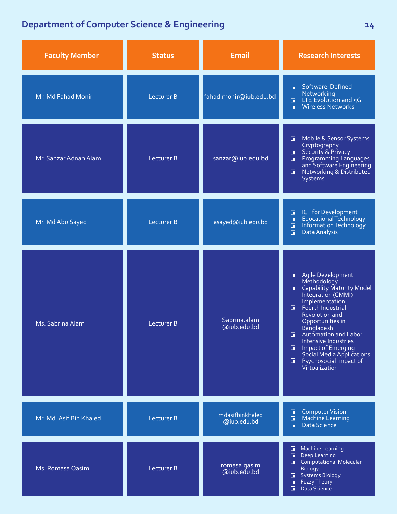| <b>Faculty Member</b>   | <b>Status</b>     | <b>Email</b>                   | <b>Research Interests</b>                                                                                                                                                                                                                                                                                                                                                                                |
|-------------------------|-------------------|--------------------------------|----------------------------------------------------------------------------------------------------------------------------------------------------------------------------------------------------------------------------------------------------------------------------------------------------------------------------------------------------------------------------------------------------------|
| Mr. Md Fahad Monir      | <b>Lecturer B</b> | fahad.monir@iub.edu.bd         | Software-Defined<br>п<br>Networking<br>LTE Evolution and 5G<br>Wireless Networks<br>$\Box$<br>$\Box$                                                                                                                                                                                                                                                                                                     |
| Mr. Sanzar Adnan Alam   | Lecturer B        | sanzar@iub.edu.bd              | Mobile & Sensor Systems<br>$\Box$<br>Cryptography<br>Security & Privacy<br>$\Box$<br>Programming Languages<br>$\blacksquare$<br>and Software Engineering<br>Networking & Distributed<br>$\blacksquare$<br>Systems                                                                                                                                                                                        |
| Mr. Md Abu Sayed        | Lecturer B        | asayed@iub.edu.bd              | <b>ICT</b> for Development<br>$\Box$<br>Educational Technology<br>$\Box$<br>Information Technology<br>$\Box$<br>Data Analysis<br>$\blacksquare$                                                                                                                                                                                                                                                          |
| Ms. Sabrina Alam        | Lecturer B        | Sabrina.alam<br>@iub.edu.bd    | Agile Development<br>$\blacksquare$<br>Methodology<br>Capability Maturity Model<br>$\Box$<br>Integration (CMMI)<br>Implementation<br>Fourth Industrial<br>F.<br>Revolution and<br>Opportunities in<br><b>Bangladesh</b><br>Automation and Labor<br>$\Box$<br>Intensive Industries<br>Impact of Emerging<br>G.<br>Social Media Applications<br>Psychosocial Impact of<br>$\blacksquare$<br>Virtualization |
| Mr. Md. Asif Bin Khaled | <b>Lecturer B</b> | mdasifbinkhaled<br>@iub.edu.bd | <b>Computer Vision</b><br>$\Box$<br><b>Machine Learning</b><br>$\blacksquare$<br>Data Science<br>$\Box$                                                                                                                                                                                                                                                                                                  |
| Ms. Romasa Qasim        | Lecturer B        | romasa.qasim<br>@iub.edu.bd    | <b>Machine Learning</b><br>$\blacksquare$<br>Deep Learning<br>$\mathbf \Gamma$<br>Computational Molecular<br><b>Biology</b><br><b>Systems Biology</b><br>$\blacksquare$<br>$\blacksquare$<br><b>Fuzzy Theory</b><br>$\overline{\blacksquare}$<br><b>Data Science</b>                                                                                                                                     |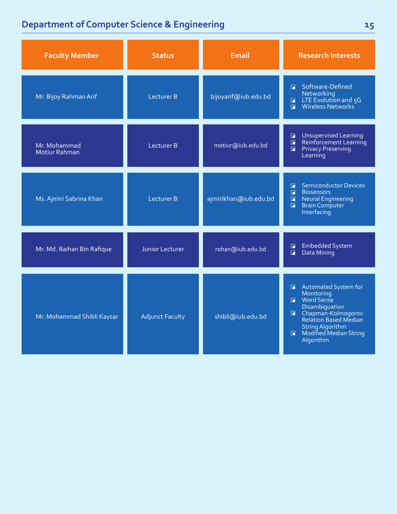| <b>Faculty Member</b>                | <b>Status</b>          | <b>Email</b>          | <b>Research Interests</b>                                                                                                                                                                                                    |
|--------------------------------------|------------------------|-----------------------|------------------------------------------------------------------------------------------------------------------------------------------------------------------------------------------------------------------------------|
| Mr. Bijoy Rahman Arif                | <b>Lecturer B</b>      | bijoyarif@iub.edu.bd  | Software-Defined<br>n.<br>Networking<br>LTE Evolution and 5G<br>$\blacksquare$<br>Wireless Networks<br>$\Box$                                                                                                                |
| Mr. Mohammad<br><b>Motiur Rahman</b> | Lecturer B             | motiur@iub.edu.bd     | <b>Unsupervised Learning</b><br>G<br>Reinforcement Learning<br>$\Box$<br><b>Privacy Preserving</b><br>$\blacksquare$<br>Learning                                                                                             |
| Ms. Ajmiri Sabrina Khan              | <b>Lecturer B</b>      | ajmirikhan@iub.edu.bd | <b>Semiconductor Devices</b><br>П<br>$\Box$<br><b>Biosensors</b><br>$\Box$<br><b>Neural Engineering</b><br>П<br><b>Brain Computer</b><br>Interfacing                                                                         |
| Mr. Md. Raihan Bin Rafique           | Junior Lecturer        | rohan@iub.edu.bd      | <b>Embedded System</b><br>$\Box$<br>Data Mining<br>$\Box$                                                                                                                                                                    |
| Mr. Mohammad Shibli Kaysar           | <b>Adjunct Faculty</b> | shibli@iub.edu.bd     | Automated System for<br>$\Box$<br>Monitoring<br><b>Nord Sense</b><br>Disambiguation<br>Chapman-Kolmogorov<br>G.<br>Relation Based Median<br><b>String Algorithm</b><br>Modified Median String<br>$\blacksquare$<br>Algorithm |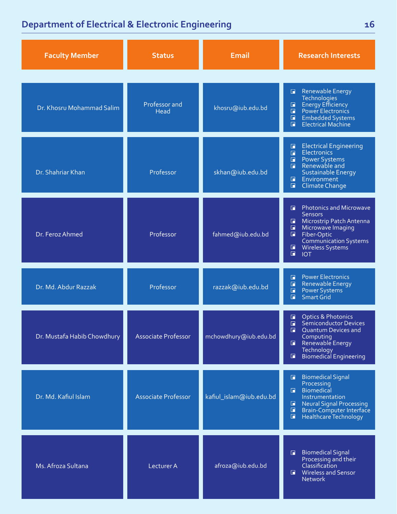### **Department of Electrical & Electronic Engineering**

| <b>Faculty Member</b>       | <b>Status</b>              | <b>Email</b>            | <b>Research Interests</b>                                                                                                                                                                                                                        |
|-----------------------------|----------------------------|-------------------------|--------------------------------------------------------------------------------------------------------------------------------------------------------------------------------------------------------------------------------------------------|
| Dr. Khosru Mohammad Salim   | Professor and<br>Head      | khosru@iub.edu.bd       | <b>Renewable Energy</b><br>G<br><b>Technologies</b><br>Energy Efficiency<br>Power Electronics<br>$\Box$<br>$\Box$<br>$\Box$<br><b>Embedded Systems</b><br>Electrical Machine<br>G.                                                               |
| Dr. Shahriar Khan           | Professor                  | skhan@iub.edu.bd        | <b>Electrical Engineering</b><br>$\Box$<br><b>Electronics</b><br>$\blacksquare$<br>Power Systems<br>$\blacksquare$<br>Renewable and<br>$\Box$<br>Sustainable Energy<br>Environment<br>$\blacksquare$<br>$\Box$<br>Climate Change                 |
| Dr. Feroz Ahmed             | Professor                  | fahmed@iub.edu.bd       | <b>Photonics and Microwave</b><br>$\Box$<br><b>Sensors</b><br>Microstrip Patch Antenna<br>E<br>Microwave Imaging<br>$\Box$<br>$\Box$<br>Fiber-Optic<br><b>Communication Systems</b><br>$\Box$<br><b>Wireless Systems</b><br>$\Box$<br><b>IOT</b> |
| Dr. Md. Abdur Razzak        | Professor                  | razzak@iub.edu.bd       | <b>Power Electronics</b><br>П<br><b>Renewable Energy</b><br>$\blacksquare$<br>$\Box$<br><b>Power Systems</b><br>Smart Grid<br>$\Box$                                                                                                             |
| Dr. Mustafa Habib Chowdhury | <b>Associate Professor</b> | mchowdhury@iub.edu.bd   | <b>Optics &amp; Photonics</b><br>$\Box$<br>Semiconductor Devices<br>$\Box$<br><b>Quantum Devices and</b><br>o<br>Computing<br>Renewable Energy<br>$\blacksquare$<br>Technology<br><b>Biomedical Engineering</b><br>$\Box$                        |
| Dr. Md. Kafiul Islam        | <b>Associate Professor</b> | kafiul_islam@iub.edu.bd | <b>Biomedical Signal</b><br>G<br>Processing<br><b>Biomedical</b><br>F.<br>Instrumentation<br><b>Neural Signal Processing</b><br>$\Box$<br>Brain-Computer Interface<br>o<br>$\Box$<br>Healthcare Technology                                       |
| Ms. Afroza Sultana          | Lecturer A                 | afroza@iub.edu.bd       | <b>Biomedical Signal</b><br>$\blacksquare$<br>Processing and their<br>Classification<br>Wireless and Sensor<br>G.<br><b>Network</b>                                                                                                              |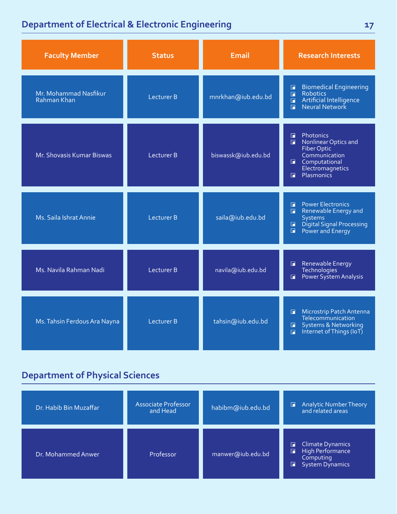### **Department of Electrical & Electronic Engineering**

| <b>Faculty Member</b>                | <b>Status</b>     | <b>Email</b>        | <b>Research Interests</b>                                                                                                                                                    |
|--------------------------------------|-------------------|---------------------|------------------------------------------------------------------------------------------------------------------------------------------------------------------------------|
| Mr. Mohammad Nasfikur<br>Rahman Khan | <b>Lecturer B</b> | mnrkhan@iub.edu.bd  | <b>Biomedical Engineering</b><br>П<br>Robotics<br>$\Box$<br>Artificial Intelligence<br>$\blacksquare$<br>$\Box$                                                              |
| Mr. Shovasis Kumar Biswas            | Lecturer B        | biswassk@iub.edu.bd | Photonics<br>Ħ<br>Nonlinear Optics and<br>п<br>Fiber Optic<br>Communication<br>Computational<br>G.<br>Electromagnetics<br>Plasmonics<br>F                                    |
| Ms. Saila Ishrat Annie               | <b>Lecturer B</b> | saila@iub.edu.bd    | <b>Power Electronics</b><br>$\overline{\blacksquare}$<br>Renewable Energy and<br>П<br><b>Systems</b><br>Digital Signal Processing<br>G<br>Power and Energy<br>$\blacksquare$ |
| Ms. Navila Rahman Nadi               | <b>Lecturer B</b> | navila@iub.edu.bd   | Renewable Energy<br>П<br><b>Technologies</b><br>Power System Analysis<br>П                                                                                                   |
| Ms. Tahsin Ferdous Ara Nayna         | <b>Lecturer B</b> | tahsin@iub.edu.bd   | Microstrip Patch Antenna<br>п<br>Telecommunication<br><b>Systems &amp; Networking</b><br>П<br>Internet of Things (IoT)<br>$\blacksquare$                                     |

| Dr. Habib Bin Muzaffar | Associate Professor<br>and Head | habibm@iub.edu.bd | Analytic Number Theory<br>and related areas<br>G                                                  |
|------------------------|---------------------------------|-------------------|---------------------------------------------------------------------------------------------------|
| Dr. Mohammed Anwer     | Professor <sup>1</sup>          | manwer@iub.edu.bd | <b>Climate Dynamics</b><br>F<br>High Performance<br>G<br>Computing<br><b>System Dynamics</b><br>G |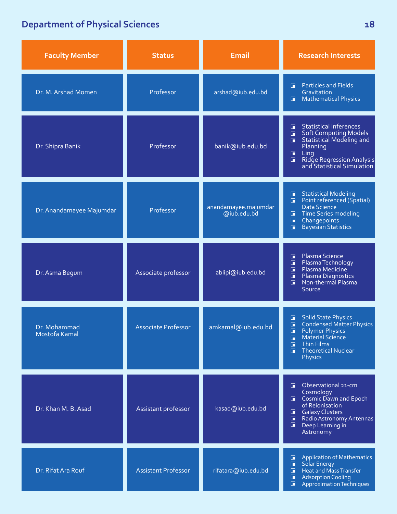| <b>Faculty Member</b>         | <b>Status</b>              | <b>Email</b>                        | <b>Research Interests</b>                                                                                                                                                                                                              |
|-------------------------------|----------------------------|-------------------------------------|----------------------------------------------------------------------------------------------------------------------------------------------------------------------------------------------------------------------------------------|
| Dr. M. Arshad Momen           | Professor                  | arshad@iub.edu.bd                   | <b>Particles and Fields</b><br>п.<br>Gravitation<br><b>Mathematical Physics</b><br>$\blacksquare$                                                                                                                                      |
| Dr. Shipra Banik              | Professor                  | banik@iub.edu.bd                    | <b>Statistical Inferences</b><br>F.<br><b>Soft Computing Models</b><br>$\Box$<br><b>Statistical Modeling and</b><br>$\Box$<br>Planning<br>$\Box$<br>Ling<br>Ridge Regression Analysis<br>and Statistical Simulation<br>$\Box$          |
| Dr. Anandamayee Majumdar      | Professor                  | anandamayee.majumdar<br>@iub.edu.bd | <b>Statistical Modeling</b><br>$\mathbf{E}$<br>Point referenced (Spatial)<br>$\blacksquare$<br>Data Science<br><b>Time Series modeling</b><br>G<br>$\Box$<br>Changepoints<br><b>Bayesian Statistics</b><br>$\Box$                      |
| Dr. Asma Begum                | Associate professor        | ablipi@iub.edu.bd                   | Plasma Science<br>F<br>$\Box$<br>Plasma Technology<br>Plasma Medicine<br>Ħ<br>П<br>Plasma Diagnostics<br>$\Box$<br>Non-thermal Plasma<br>Source                                                                                        |
| Dr. Mohammad<br>Mostofa Kamal | Associate Professor        | amkamal@iub.edu.bd                  | <b>Solid State Physics</b><br>F<br><b>Condensed Matter Physics</b><br>$\Box$<br><b>Polymer Physics</b><br>u<br>Material Science<br>$\Box$<br><b>Thin Films</b><br>$\blacksquare$<br><b>Theoretical Nuclear</b><br>G.<br><b>Physics</b> |
| Dr. Khan M. B. Asad           | Assistant professor        | kasad@iub.edu.bd                    | Observational 21-cm<br>п<br>Cosmology<br>Cosmic Dawn and Epoch<br>of Reionisation<br><b>Galaxy Clusters</b><br>$\Box$<br>$\mathbf \Gamma$<br>Radio Astronomy Antennas<br>G.<br>Deep Learning in<br>Astronomy                           |
| Dr. Rifat Ara Rouf            | <b>Assistant Professor</b> | rifatara@iub.edu.bd                 | <b>Application of Mathematics</b><br>$\Box$<br><b>Solar Energy</b><br>$\Box$<br>Heat and Mass Transfer<br>$\blacksquare$<br>$\Box$<br><b>Adsorption Cooling</b><br>$\Box$<br><b>Approximation Techniques</b>                           |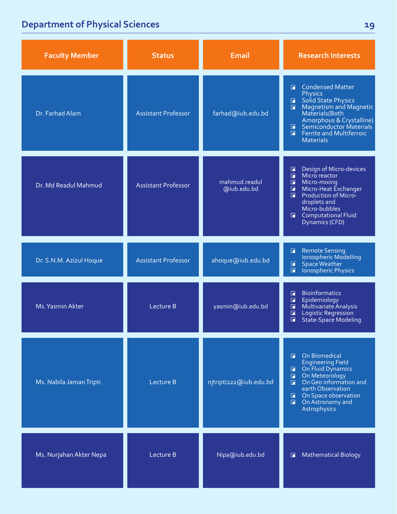| <b>Faculty Member</b>   | <b>Status</b>              | Email                        | <b>Research Interests</b>                                                                                                                                                                                                                                                          |
|-------------------------|----------------------------|------------------------------|------------------------------------------------------------------------------------------------------------------------------------------------------------------------------------------------------------------------------------------------------------------------------------|
| Dr. Farhad Alam         | <b>Assistant Professor</b> | farhad@iub.edu.bd            | <b>Condensed Matter</b><br>F.<br><b>Physics</b><br>Solid State Physics<br>$\Box$<br><b>Magnetism and Magnetic</b><br>$\Box$<br>Materials(Both<br>Amorphous & Crystalline)<br>Semiconductor Materials<br>$\blacksquare$<br><b>Ferrite and Multiferroic</b><br>п<br><b>Materials</b> |
| Dr. Md Readul Mahmud    | <b>Assistant Professor</b> | mahmud.readul<br>@iub.edu.bd | Design of Micro-devices<br>$\blacksquare$<br>Micro reactor<br>П<br>$\Box$<br>Micro-mixing<br>Micro-Heat Exchanger<br>$\blacksquare$<br>Production of Micro-<br>П<br>droplets and<br>Micro-bubbles<br><b>Computational Fluid</b><br>$\blacksquare$<br>Dynamics (CFD)                |
| Dr. S.N.M. Azizul Hoque | <b>Assistant Professor</b> | ahoque@iub.edu.bd            | <b>Remote Sensing</b><br>$\Box$<br>Ionospheric Modelling<br>Space Weather<br>$\blacksquare$<br>Ionospheric Physics<br>п                                                                                                                                                            |
| Ms. Yasmin Akter        | Lecture B                  | yasmin@iub.edu.bd            | <b>Bioinformatics</b><br>П<br>$\blacksquare$<br>Epidemiology<br>Multivariate Analysis<br>$\blacksquare$<br>Logistic Regression<br>$\Box$<br>State-Space Modeling<br>$\Box$                                                                                                         |
| Ms. Nabila Jaman Tripti | Lecture B                  | njtripti222@iub.edu.bd       | On Biomedical<br>п.<br><b>Engineering Field</b><br>On Fluid Dynamics<br>Œ.<br>On Meteorology<br>п<br>On Geo information and<br>$\Box$<br>earth Observation<br>On Space observation<br>п.<br>On Astronomy and<br>$\blacksquare$<br>Astrophysics                                     |
| Ms. Nurjahan Akter Nepa | Lecture B                  | Nipa@iub.edu.bd              | <b>Mathematical Biology</b><br>п                                                                                                                                                                                                                                                   |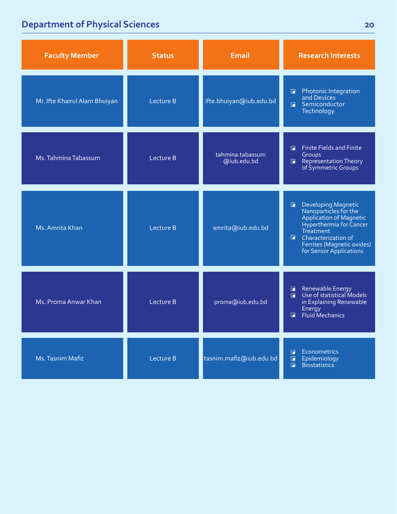| <b>Faculty Member</b>         | <b>Status</b> | <b>Email</b>                    | <b>Research Interests</b>                                                                                                                                                                                                        |
|-------------------------------|---------------|---------------------------------|----------------------------------------------------------------------------------------------------------------------------------------------------------------------------------------------------------------------------------|
| Mr. Ifte Khairul Alam Bhuiyan | Lecture B     | ifte.bhuiyan@iub.edu.bd         | Photonic Integration<br>and Devices<br>$\blacksquare$<br><b>E</b> Semiconductor<br>Technology                                                                                                                                    |
| Ms. Tahmina Tabassum          | Lecture B     | tahmina.tabassum<br>@iub.edu.bd | <b>Finite Fields and Finite</b><br>Ē<br>Groups<br>Representation Theory<br>$\blacksquare$<br>of Symmetric Groups                                                                                                                 |
| Ms. Amrita Khan               | Lecture B     | amrita@iub.edu.bd               | Developing Magnetic<br>Nanoparticles for the<br>Application of Magnetic<br>Hyperthermia for Cancer<br>$\blacksquare$<br>Treatment<br>$\blacksquare$ Characterization of<br>Ferrites (Magnetic oxides)<br>for Sensor Applications |
| Ms. Proma Anwar Khan          | Lecture B     | proma@iub.edu.bd                | Renewable Energy<br>Use of statistical Models<br>$\Box$<br>$\Box$<br>in Explaining Renewable<br>Energy<br>Fluid Mechanics<br>п                                                                                                   |
| Ms. Tasnim Mafiz              | Lecture B     | tasnim.mafiz@iub.edu.bd         | Econometrics<br>П<br>Epidemiology<br>$\Box$<br>$\Box$<br><b>Biostatistics</b>                                                                                                                                                    |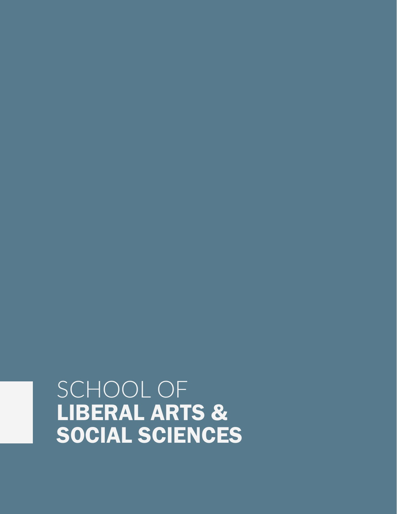## SCHOOL OF LIBERAL ARTS & SOCIAL SCIENCES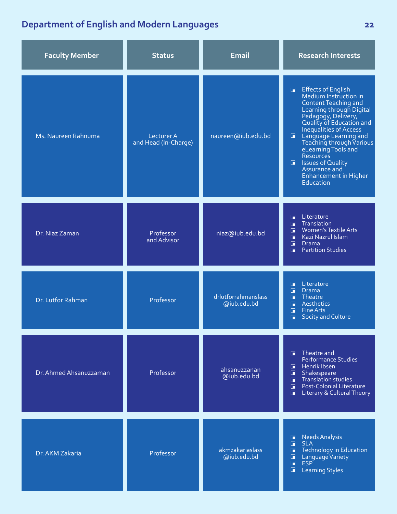| <b>Faculty Member</b>  | <b>Status</b>                      | <b>Email</b>                       | <b>Research Interests</b>                                                                                                                                                                                                                                                                                                                                                                                         |
|------------------------|------------------------------------|------------------------------------|-------------------------------------------------------------------------------------------------------------------------------------------------------------------------------------------------------------------------------------------------------------------------------------------------------------------------------------------------------------------------------------------------------------------|
| Ms. Naureen Rahnuma    | Lecturer A<br>and Head (In-Charge) | naureen@iub.edu.bd                 | Effects of English<br>Medium Instruction in<br>$\blacksquare$<br><b>Content Teaching and</b><br>Learning through Digital<br>Pedagogy, Delivery,<br>Quality of Education and<br>Inequalities of Access<br><b>E</b> Language Learning and<br>Teaching through Various<br>eLearning Tools and<br>Resources<br><b>E</b> Issues of Quality<br><b>Assurance and</b><br><b>Enhancement in Higher</b><br><b>Education</b> |
| Dr. Niaz Zaman         | Professor<br>and Advisor           | niaz@iub.edu.bd                    | Literature<br>П<br>Translation<br>$\blacksquare$<br><b>Women's Textile Arts</b><br>$\overline{\blacksquare}$<br>Kazi Nazrul Islam<br>$\Box$<br>$\blacksquare$<br><b>Drama</b><br><b>Partition Studies</b><br>п                                                                                                                                                                                                    |
| Dr. Lutfor Rahman      | Professor                          | drlutforrahmanslass<br>@iub.edu.bd | Literature<br>П<br>П<br><b>Drama</b><br>П<br>Theatre<br>$\overline{\blacksquare}$<br>Aesthetics<br>$\Box$<br><b>Fine Arts</b><br><b>Socity and Culture</b><br>G                                                                                                                                                                                                                                                   |
| Dr. Ahmed Ahsanuzzaman | Professor                          | ahsanuzzanan<br>@iub.edu.bd        | Theatre and<br>F.<br><b>Performance Studies</b><br>Henrik Ibsen<br>$\Box$<br>$\blacksquare$<br>Shakespeare<br>Translation studies<br>$\Box$<br><b>Post-Colonial Literature</b><br>п<br><b>Literary &amp; Cultural Theory</b><br>$\blacksquare$                                                                                                                                                                    |
| Dr. AKM Zakaria        | Professor                          | akmzakariaslass<br>@iub.edu.bd     | <b>Needs Analysis</b><br>$\blacksquare$<br><b>SLA</b><br>$\Box$<br><b>Technology in Education</b><br>$\blacksquare$<br>$\blacksquare$<br>Language Variety<br>$\blacksquare$<br><b>ESP</b><br>$\blacksquare$<br><b>Learning Styles</b>                                                                                                                                                                             |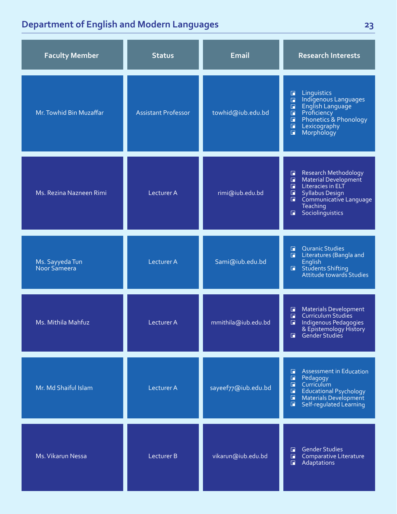| <b>Faculty Member</b>           | <b>Status</b>              | <b>Email</b>        | <b>Research Interests</b>                                                                                                                                                                                                        |
|---------------------------------|----------------------------|---------------------|----------------------------------------------------------------------------------------------------------------------------------------------------------------------------------------------------------------------------------|
| Mr. Towhid Bin Muzaffar         | <b>Assistant Professor</b> | towhid@iub.edu.bd   | Linguistics<br>囗<br>Indigenous Languages<br>English Language<br>$\Box$<br>$\Box$<br><b>Proficiency</b><br>$\Box$<br>Phonetics & Phonology<br>$\Box$<br>$\Box$<br>Lexicography<br>Morphology<br>$\blacksquare$                    |
| Ms. Rezina Nazneen Rimi         | Lecturer A                 | rimi@iub.edu.bd     | <b>Research Methodology</b><br>$\Box$<br>Material Development<br>$\Box$<br>Literacies in ELT<br>$\Box$<br>$\Box$<br><b>Syllabus Design</b><br>$\Box$<br>Communicative Language<br>Teaching<br>Sociolinguistics<br>$\blacksquare$ |
| Ms. Sayyeda Tun<br>Noor Sameera | Lecturer A                 | Sami@iub.edu.bd     | <b>Quranic Studies</b><br>$\Box$<br>Literatures (Bangla and<br>旧<br>English<br><b>Students Shifting</b><br>$\Box$ .<br><b>Attitude towards Studies</b>                                                                           |
| Ms. Mithila Mahfuz              | Lecturer A                 | mmithila@iub.edu.bd | <b>Materials Development</b><br>$\blacksquare$<br>Curriculum Studies<br>$\Box$<br>Indigenous Pedagogies<br>$\Box$<br>& Epistemology History<br>Gender Studies<br>$\Box$                                                          |
| Mr. Md Shaiful Islam            | <b>Lecturer A</b>          | sayeef77@iub.edu.bd | <b>Assessment in Education</b><br>$\Box$<br>Pedagogy<br>$\Box$<br>Curriculum<br>$\Box$<br>$\blacksquare$<br>Educational Psychology<br>Materials Development<br>$\blacksquare$<br>Self-regulated Learning<br>$\Box$               |
| Ms. Vikarun Nessa               | Lecturer B                 | vikarun@iub.edu.bd  | <b>Gender Studies</b><br>$\blacksquare$<br>Comparative Literature<br>$\Box$<br>Adaptations<br>$\Box$                                                                                                                             |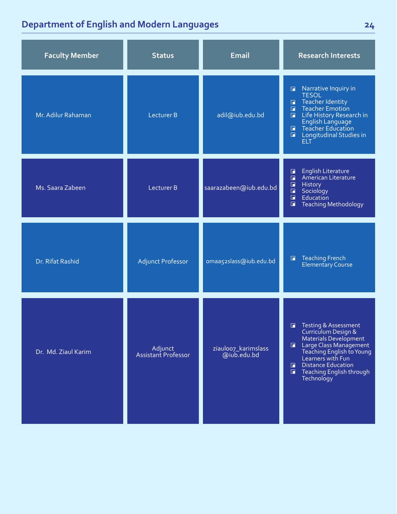| <b>Faculty Member</b> | <b>Status</b>                  | <b>Email</b>                       | <b>Research Interests</b>                                                                                                                                                                                                                                                     |
|-----------------------|--------------------------------|------------------------------------|-------------------------------------------------------------------------------------------------------------------------------------------------------------------------------------------------------------------------------------------------------------------------------|
| Mr. Adilur Rahaman    | Lecturer B                     | adil@iub.edu.bd                    | Narrative Inquiry in<br>$\Box$<br><b>TESOL</b><br>Teacher Identity<br>Teacher Emotion<br>$\Box$<br>$\blacksquare$<br>Life History Research in<br>$\blacksquare$<br>English Language<br>Teacher Education<br>$\Box$<br>Longitudinal Studies in<br>$\blacksquare$<br><b>ELT</b> |
| Ms. Saara Zabeen      | Lecturer B                     | saarazabeen@iub.edu.bd             | <b>English Literature</b><br>$\mathbf \Gamma$<br>American Literature<br>$\overline{\blacksquare}$<br>$\blacksquare$<br>History<br>$\blacksquare$<br>Sociology<br>$\Box$<br>Education<br>E<br><b>Teaching Methodology</b>                                                      |
| Dr. Rifat Rashid      | <b>Adjunct Professor</b>       | omaa52slass@iub.edu.bd             | <b>Teaching French</b><br>$\blacksquare$<br><b>Elementary Course</b>                                                                                                                                                                                                          |
| Dr. Md. Ziaul Karim   | Adjunct<br>Assistant Professor | ziauloo7_karimslass<br>@iub.edu.bd | <b>Testing &amp; Assessment</b><br>П<br>Curriculum Design &<br><b>Materials Development</b><br>Large Class Management<br>Teaching English to Young<br>Learners with Fun<br><b>Distance Education</b><br>П.<br>F Teaching English through<br>Technology                        |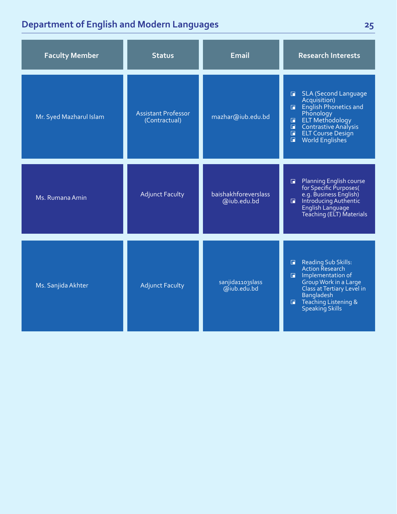| <b>Faculty Member</b>   | <b>Status</b>                               | <b>Email</b>                        | <b>Research Interests</b>                                                                                                                                                                                                                                  |
|-------------------------|---------------------------------------------|-------------------------------------|------------------------------------------------------------------------------------------------------------------------------------------------------------------------------------------------------------------------------------------------------------|
| Mr. Syed Mazharul Islam | <b>Assistant Professor</b><br>(Contractual) | mazhar@iub.edu.bd                   | <b>SLA (Second Language</b><br>G.<br>Acquisition)<br><b>English Phonetics and</b><br>Phonology<br><b>ELT Methodology</b><br>$\blacksquare$<br>Contrastive Analysis<br>Ó<br>$\blacksquare$<br><b>ELT Course Design</b><br>World Englishes<br>$\blacksquare$ |
| Ms. Rumana Amin         | <b>Adjunct Faculty</b>                      | baishakhforeverslass<br>@iub.edu.bd | <b>Planning English course</b><br>Π.<br>for Specific Purposes(<br>e.g. Business English)<br>Introducing Authentic<br>$\blacksquare$<br>English Language<br>Teaching (ELT) Materials                                                                        |
| Ms. Sanjida Akhter      | <b>Adjunct Faculty</b>                      | sanjida1103slass<br>@iub.edu.bd     | Reading Sub Skills:<br>$\Box$<br><b>Action Research</b><br>Implementation of<br>Group Work in a Large<br>Class at Tertiary Level in<br><b>Bangladesh</b><br>Teaching Listening &<br>F.<br><b>Speaking Skills</b>                                           |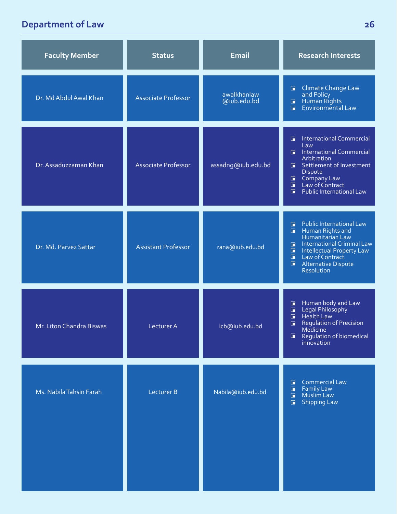### **Department of Law**

| <b>Faculty Member</b>    | <b>Status</b>              | <b>Email</b>               | <b>Research Interests</b>                                                                                                                                                                                                                                                   |
|--------------------------|----------------------------|----------------------------|-----------------------------------------------------------------------------------------------------------------------------------------------------------------------------------------------------------------------------------------------------------------------------|
| Dr. Md Abdul Awal Khan   | <b>Associate Professor</b> | awalkhanlaw<br>@iub.edu.bd | <b>Climate Change Law</b><br>$\blacksquare$<br>and Policy<br>and Policy<br>E Human Rights<br>Environmental Law                                                                                                                                                              |
| Dr. Assaduzzaman Khan    | <b>Associate Professor</b> | assadng@iub.edu.bd         | <b>International Commercial</b><br>$\Box$<br>Law<br>International Commercial<br>Arbitration<br>Settlement of Investment<br>$\Box$<br>Dispute<br>Company Law<br>Law of Contract<br>$\blacksquare$<br>$\blacksquare$<br>$\blacksquare$<br><b>Public International Law</b>     |
| Dr. Md. Parvez Sattar    | <b>Assistant Professor</b> | rana@iub.edu.bd            | <b>Public International Law</b><br>$\Box$<br><b>Human Rights and</b><br>$\Box$<br>Humanitarian Law<br><b>International Criminal Law</b><br>$\Box$<br>Intellectual Property Law<br>Law of Contract<br>$\Box$<br>$\Box$<br>$\Box$<br><b>Alternative Dispute</b><br>Resolution |
| Mr. Liton Chandra Biswas | Lecturer A                 | lcb@iub.edu.bd             | Human body and Law<br>Legal Philosophy<br>Health Law<br>$\Box$<br>$\Box$<br>$\blacksquare$<br><b>Regulation of Precision</b><br>$\blacksquare$<br>Medicine<br>Regulation of biomedical<br>$\blacksquare$<br>innovation                                                      |
| Ms. Nabila Tahsin Farah  | <b>Lecturer B</b>          | Nabila@iub.edu.bd          | <b>Commercial Law</b><br>$\Box$<br><b>Family Law</b><br>$\Box$<br>Muslim Law<br>$\Box$<br><b>Shipping Law</b><br>$\blacksquare$                                                                                                                                             |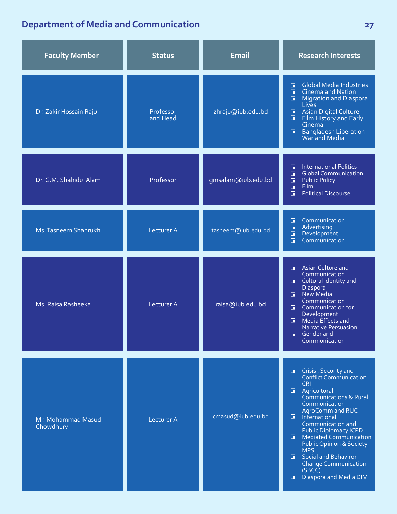## **Department of Media and Communication**

| <b>Faculty Member</b>           | <b>Status</b>         | <b>Email</b>       | <b>Research Interests</b>                                                                                                                                                                                                                                                                                                                                                                                                                                                           |
|---------------------------------|-----------------------|--------------------|-------------------------------------------------------------------------------------------------------------------------------------------------------------------------------------------------------------------------------------------------------------------------------------------------------------------------------------------------------------------------------------------------------------------------------------------------------------------------------------|
| Dr. Zakir Hossain Raju          | Professor<br>and Head | zhraju@iub.edu.bd  | <b>Global Media Industries</b><br>$\Box$<br><b>Cinema and Nation</b><br>$\Box$<br>$\Box$<br><b>Migration and Diaspora</b><br><b>Lives</b><br>$\blacksquare$<br><b>Asian Digital Culture</b><br>Film History and Early<br>$\Box$<br>Cinema<br>Bangladesh Liberation<br>War and Media<br>$\Box$                                                                                                                                                                                       |
| Dr. G.M. Shahidul Alam          | Professor             | gmsalam@iub.edu.bd | <b>International Politics</b><br>G<br><b>Global Communication</b><br>$\Box$<br><b>Public Policy</b><br>$\Box$<br><b>Film</b><br>$\Box$<br><b>Political Discourse</b><br>$\Box$                                                                                                                                                                                                                                                                                                      |
| Ms. Tasneem Shahrukh            | <b>Lecturer A</b>     | tasneem@iub.edu.bd | Communication<br>面<br>Advertising<br>$\Box$<br>Development<br>$\Box$<br>Communication<br>$\Box$                                                                                                                                                                                                                                                                                                                                                                                     |
| Ms. Raisa Rasheeka              | Lecturer A            | raisa@iub.edu.bd   | Asian Culture and<br>$\Box$<br>Communication<br><b>E</b> Cultural Identity and<br>Diaspora<br>New Media<br>$\mathbf{F}$<br>Communication<br>Communication for<br>R<br>Development<br>Media Effects and<br>o<br>Narrative Persuasion<br><b>Gender</b> and<br>o<br>Communication                                                                                                                                                                                                      |
| Mr. Mohammad Masud<br>Chowdhury | <b>Lecturer A</b>     | cmasud@iub.edu.bd  | <b>E</b> Crisis, Security and<br><b>Conflict Communication</b><br><b>CRI</b><br>$\blacksquare$<br>Agricultural<br>Communications & Rural<br>Communication<br>AgroComm and RUC<br>$\blacksquare$<br>International<br>Communication and<br><b>Public Diplomacy ICPD</b><br>$\Box$<br><b>Mediated Communication</b><br><b>Public Opinion &amp; Society</b><br><b>MPS</b><br><b>E</b> Social and Behaviror<br><b>Change Communication</b><br>(SBCC)<br>Diaspora and Media DIM<br>$\Box$ |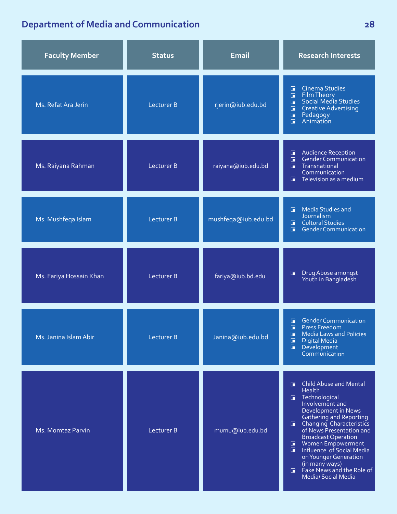### **Department of Media and Communication**

| <b>Faculty Member</b>   | <b>Status</b>     | <b>Email</b>        | <b>Research Interests</b>                                                                                                                                                                                                                                                                                                                                                                                         |
|-------------------------|-------------------|---------------------|-------------------------------------------------------------------------------------------------------------------------------------------------------------------------------------------------------------------------------------------------------------------------------------------------------------------------------------------------------------------------------------------------------------------|
| Ms. Refat Ara Jerin     | <b>Lecturer B</b> | rjerin@iub.edu.bd   | <b>Cinema Studies</b><br>面<br>Film Theory<br>Social Media Studies<br>$\Box$<br>$\Box$<br><b>Creative Advertising</b><br>$\Box$<br>Pedagogy<br>Animation<br>$\Box$<br>$\Box$                                                                                                                                                                                                                                       |
| Ms. Raiyana Rahman      | Lecturer B        | raiyana@iub.edu.bd  | <b>Audience Reception</b><br>$\Box$<br>Gender Communication<br>$\blacksquare$<br>Transnational<br>$\Box$<br>Communication<br>Television as a medium<br>G.                                                                                                                                                                                                                                                         |
| Ms. Mushfeqa Islam      | <b>Lecturer B</b> | mushfeqa@iub.edu.bd | <b>Media Studies and</b><br>G.<br>Journalism<br><b>E</b> Cultural Studies<br><b>Gender Communication</b><br>$\Box$                                                                                                                                                                                                                                                                                                |
| Ms. Fariya Hossain Khan | Lecturer B        | fariya@iub.bd.edu   | Drug Abuse amongst<br>Youth in Bangladesh<br>$\Box$                                                                                                                                                                                                                                                                                                                                                               |
| Ms. Janina Islam Abir   | <b>Lecturer B</b> | Janina@iub.edu.bd   | <b>Gender Communication</b><br>G<br>$\blacksquare$<br>Press Freedom<br>$\Box$<br><b>Media Laws and Policies</b><br>$\Box$<br><b>Digital Media</b><br>$\blacksquare$<br>Development<br>Communication                                                                                                                                                                                                               |
| Ms. Momtaz Parvin       | Lecturer B        | mumu@iub.edu.bd     | <b>Child Abuse and Mental</b><br>G.<br>Health<br>Technological<br>Involvement and<br>Development in News<br><b>Gathering and Reporting</b><br><b>E</b> Changing Characteristics<br>of News Presentation and<br><b>Broadcast Operation</b><br>Women Empowerment<br>$\Box$<br>Influence of Social Media<br>on Younger Generation<br>(in many ways)<br>$\Box$ Fake News and the Role of<br><b>Media/Social Media</b> |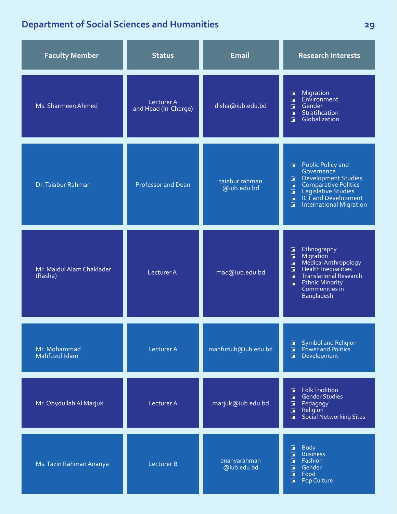### **Department of Social Sciences and Humanities**

| <b>Faculty Member</b>                | <b>Status</b>                      | <b>Email</b>                  | <b>Research Interests</b>                                                                                                                                                                                                                      |
|--------------------------------------|------------------------------------|-------------------------------|------------------------------------------------------------------------------------------------------------------------------------------------------------------------------------------------------------------------------------------------|
| Ms. Sharmeen Ahmed                   | Lecturer A<br>and Head (In-Charge) | disha@iub.edu.bd              | Migration<br>$\Box$<br>Environment<br>$\Box$<br>Gender<br>$\Box$<br>Stratification<br>$\Box$<br>Globalization<br>$\Box$                                                                                                                        |
| Dr. Taiabur Rahman                   | <b>Professor and Dean</b>          | taiabur.rahman<br>@iub.edu.bd | <b>Public Policy and</b><br>$\blacksquare$<br>Governance<br>Development Studies<br>П<br>Comparative Politics<br>Legislative Studies<br>$\Box$<br>$\Box$<br>ICT and Development<br>$\Box$<br>International Migration<br>$\Box$                  |
| Mr. Maidul Alam Chaklader<br>(Rasha) | Lecturer A                         | mac@iub.edu.bd                | Ethnography<br>$\Box$<br>Migration<br>$\blacksquare$<br>Medical Anthropology<br>$\Box$<br>Health Inequalities<br>$\Box$<br><b>Translational Research</b><br>$\Box$<br><b>Ethnic Minority</b><br>$\blacksquare$<br>Communities in<br>Bangladesh |
| Mr. Mohammad<br>Mahfuzul Islam       | <b>Lecturer A</b>                  | mahfuziub@iub.edu.bd          | Symbol and Religion<br>$\blacksquare$<br>Power and Politics<br>$\Box$<br>$\Box$<br>Development                                                                                                                                                 |
| Mr. Obydullah Al Marjuk              | Lecturer A                         | marjuk@iub.edu.bd             | <b>Folk Tradition</b><br>$\blacksquare$<br><b>Gender Studies</b><br>$\blacksquare$<br>$\Box$<br>Pedagogy<br>Religion<br>$\Box$<br>Social Networking Sites<br>$\Box$                                                                            |
| Ms. Tazin Rahman Ananya              | <b>Lecturer B</b>                  | ananyarahman<br>@iub.edu.bd   | <b>Body</b><br>$\Box$<br>$\Box$<br><b>Business</b><br>$\blacksquare$<br>Fashion<br>$\Box$<br>Gender<br>$\Box$<br>Food<br>$\Box$<br>Pop Culture                                                                                                 |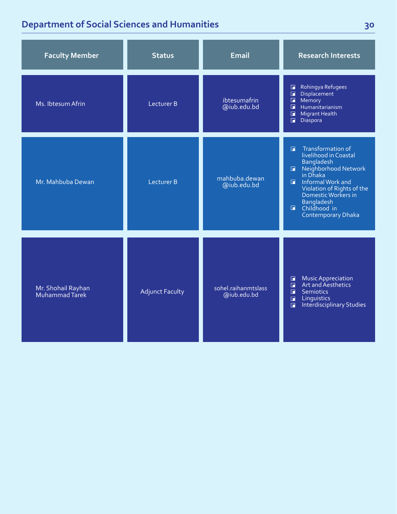### **Department of Social Sciences and Humanities**

| <b>Faculty Member</b>                | <b>Status</b>          | <b>Email</b>                       | <b>Research Interests</b>                                                                                                                                                                                                                                                        |
|--------------------------------------|------------------------|------------------------------------|----------------------------------------------------------------------------------------------------------------------------------------------------------------------------------------------------------------------------------------------------------------------------------|
| Ms. Ibtesum Afrin                    | Lecturer B             | ibtesumafrin<br>@iub.edu.bd        | Rohingya Refugees<br>G<br>$\blacksquare$<br>Displacement<br>$\blacksquare$<br>Memory<br>$\Box$<br>Humanitarianism<br>$\Box$<br><b>Migrant Health</b><br>$\Box$<br>Diaspora                                                                                                       |
| Mr. Mahbuba Dewan                    | Lecturer B             | mahbuba.dewan<br>@iub.edu.bd       | Transformation of<br>$\blacksquare$<br>livelihood in Coastal<br><b>Bangladesh</b><br>R Neighborhood Network<br>in Dhaka<br>Informal Work and<br>$\blacksquare$<br>Violation of Rights of the<br>Domestic Workers in<br>Bangladesh<br><b>E</b> Childhood in<br>Contemporary Dhaka |
| Mr. Shohail Rayhan<br>Muhammad Tarek | <b>Adjunct Faculty</b> | sohel.raihanmtslass<br>@iub.edu.bd | Music Appreciation<br>Art and Aesthetics<br>$\Box$<br>$\Box$<br>$\Box$<br><b>Semiotics</b><br>Linguistics<br>$\Box$<br><b>Interdisciplinary Studies</b><br>$\Box$                                                                                                                |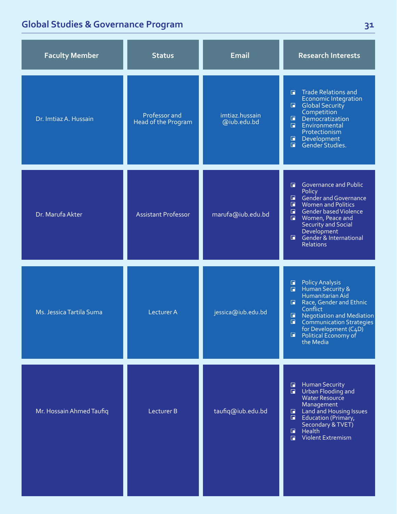### **Global Studies & Governance Program**

| <b>Faculty Member</b>    | <b>Status</b>                        | <b>Email</b>                  | <b>Research Interests</b>                                                                                                                                                                                                                                                                                                   |
|--------------------------|--------------------------------------|-------------------------------|-----------------------------------------------------------------------------------------------------------------------------------------------------------------------------------------------------------------------------------------------------------------------------------------------------------------------------|
| Dr. Imtiaz A. Hussain    | Professor and<br>Head of the Program | imtiaz.hussain<br>@iub.edu.bd | <b>Trade Relations and</b><br>П<br><b>Economic Integration</b><br>$\Box$<br><b>Global Security</b><br>Competition<br>Democratization<br>$\Box$<br>Environmental<br>$\Box$<br>Protectionism<br>$\blacksquare$<br>Development<br>Gender Studies.<br>$\Box$                                                                    |
| Dr. Marufa Akter         | Assistant Professor                  | marufa@iub.edu.bd             | Governance and Public<br>П<br>Policy<br><b>Gender and Governance</b><br>$\Box$<br>$\Box$<br><b>Women and Politics</b><br>$\blacksquare$<br>Gender based Violence<br>Women, Peace and<br>П<br><b>Security and Social</b><br>Development<br>Gender & International<br>$\blacksquare$<br><b>Relations</b>                      |
| Ms. Jessica Tartila Suma | Lecturer A                           | jessica@iub.edu.bd            | <b>Policy Analysis</b><br>$\Box$<br>Human Security &<br>$\Box$<br>Humanitarian Aid<br>$\Box$<br>Race, Gender and Ethnic<br>Conflict<br>$\Box$<br><b>Negotiation and Mediation</b><br>$\blacksquare$<br><b>Communication Strategies</b><br>for Development (C <sub>4</sub> D)<br>$\Box$<br>Political Economy of<br>the Media |
| Mr. Hossain Ahmed Taufiq | Lecturer B                           | taufiq@iub.edu.bd             | <b>Human Security</b><br>$\blacksquare$<br>$\blacksquare$<br>Urban Flooding and<br><b>Water Resource</b><br>Management<br>Land and Housing Issues<br>П<br>$\Box$<br>Education (Primary,<br>Secondary & TVET)<br>Health<br>$\blacksquare$<br>Violent Extremism<br>$\Box$                                                     |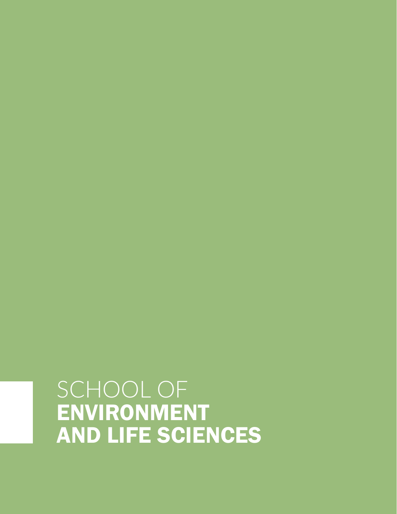## SCHOOL OF ENVIRONMENT AND LIFE SCIENCES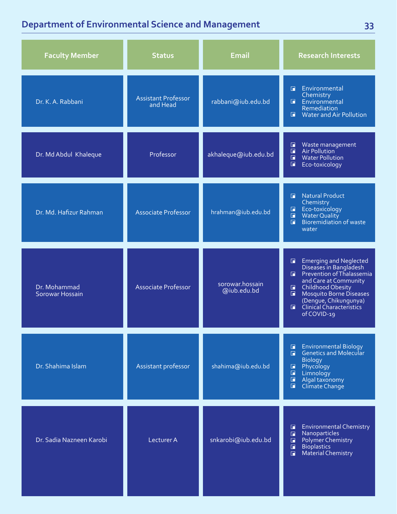### **Department of Environmental Science and Management**

| <b>Faculty Member</b>           | <b>Status</b>                          | <b>Email</b>                   | <b>Research Interests</b>                                                                                                                                                                                                                                                            |
|---------------------------------|----------------------------------------|--------------------------------|--------------------------------------------------------------------------------------------------------------------------------------------------------------------------------------------------------------------------------------------------------------------------------------|
| Dr. K. A. Rabbani               | <b>Assistant Professor</b><br>and Head | rabbani@iub.edu.bd             | Environmental<br>G.<br>Chemistry<br><b>E</b> Environmental<br>Remediation<br>Water and Air Pollution<br>同                                                                                                                                                                            |
| Dr. Md Abdul Khaleque           | Professor                              | akhaleque@iub.edu.bd           | Waste management<br>Air Pollution<br>$\Box$<br>$\Box$<br>$\Box$<br><b>Water Pollution</b><br>E<br>Eco-toxicology                                                                                                                                                                     |
| Dr. Md. Hafizur Rahman          | <b>Associate Professor</b>             | hrahman@iub.edu.bd             | Natural Product<br>F.<br>Chemistry<br>Eco-toxicology<br>$\Box$<br>Water Quality<br>$\Box$<br>Bioremidiation of waste<br>F.<br>water                                                                                                                                                  |
| Dr. Mohammad<br>Sorowar Hossain | <b>Associate Professor</b>             | sorowar.hossain<br>@iub.edu.bd | Emerging and Neglected<br>Diseases in Bangladesh<br>П<br>Prevention of Thalassemia<br>F.<br>and Care at Community<br><b>Childhood Obesity</b><br>$\blacksquare$<br>Mosquito Borne Diseases<br>$\Box$<br>(Dengue, Chikungunya)<br>  Clinical Characteristics<br>$\Box$<br>of COVID-19 |
| Dr. Shahima Islam               | Assistant professor                    | shahima@iub.edu.bd             | <b>Environmental Biology</b><br>$\blacksquare$<br>Genetics and Molecular<br>$\Box$<br><b>Biology</b><br>Phycology<br>$\Box$<br>$\Box$<br>Limnology<br>$\blacksquare$<br>Algal taxonomy<br>$\blacksquare$<br>Climate Change                                                           |
| Dr. Sadia Nazneen Karobi        | Lecturer A                             | snkarobi@iub.edu.bd            | <b>Environmental Chemistry</b><br>П<br>Nanoparticles<br>$\blacksquare$<br>Polymer Chemistry<br>$\blacksquare$<br>$\Box$<br><b>Bioplastics</b><br><b>Material Chemistry</b><br>$\Box$                                                                                                 |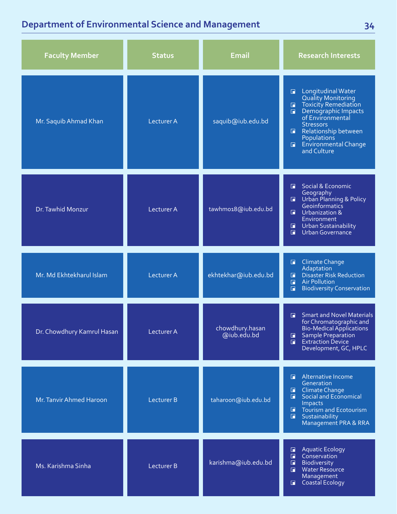### **Department of Environmental Science and Management**

| <b>Faculty Member</b>      | <b>Status</b>     | <b>Email</b>                   | <b>Research Interests</b>                                                                                                                                                                                                                                                   |
|----------------------------|-------------------|--------------------------------|-----------------------------------------------------------------------------------------------------------------------------------------------------------------------------------------------------------------------------------------------------------------------------|
| Mr. Saquib Ahmad Khan      | <b>Lecturer A</b> | saquib@iub.edu.bd              | Longitudinal Water<br>$\Box$<br><b>Quality Monitoring</b><br><b>Toxicity Remediation</b><br>$\blacksquare$<br>Demographic Impacts<br>of Environmental<br>$\blacksquare$<br><b>Stressors</b><br>Relationship between<br>Populations<br>E Environmental Change<br>and Culture |
| Dr. Tawhid Monzur          | Lecturer A        | tawhmo18@iub.edu.bd            | Social & Economic<br>G.<br>Geography<br><b>U</b> Urban Planning & Policy<br>Geoinformatics<br><b>I</b> Urbanization &<br>Environment<br><b>T</b> Urban Sustainability<br>$\blacksquare$<br><b>Urban Governance</b>                                                          |
| Mr. Md Ekhtekharul Islam   | <b>Lecturer A</b> | ekhtekhar@iub.edu.bd           | Climate Change<br>$\blacksquare$<br>Adaptation<br><b>Disaster Risk Reduction</b><br>G.<br><b>Air Pollution</b><br>$\Box$<br>$\blacksquare$<br><b>Biodiversity Conservation</b>                                                                                              |
| Dr. Chowdhury Kamrul Hasan | Lecturer A        | chowdhury.hasan<br>@iub.edu.bd | <b>Smart and Novel Materials</b><br>n.<br>for Chromatographic and<br><b>Bio-Medical Applications</b><br><b>Sample Preparation</b><br>G.<br>Extraction Device<br>$\Box$<br>Development, GC, HPLC                                                                             |
| Mr. Tanvir Ahmed Haroon    | <b>Lecturer B</b> | taharoon@iub.edu.bd            | Alternative Income<br>П<br>Generation<br>Climate Change<br>$\blacksquare$<br>Social and Economical<br>F.<br>Impacts<br>$\blacksquare$<br>Tourism and Ecotourism<br>$\blacksquare$<br>Sustainability<br>Management PRA & RRA                                                 |
| Ms. Karishma Sinha         | Lecturer B        | karishma@iub.edu.bd            | <b>Aquatic Ecology</b><br>$\Box$<br>$\Box$<br>Conservation<br>Biodiversity<br>$\Box$<br>Water Resource<br>$\Box$<br>Management<br>Coastal Ecology<br>$\blacksquare$                                                                                                         |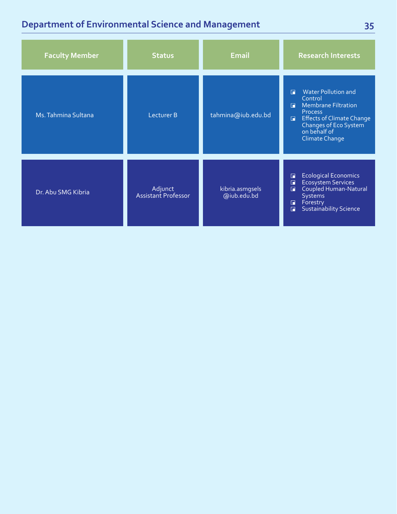### **Department of Environmental Science and Management**

| <b>Faculty Member</b> | <b>Status</b>                  | <b>Email</b>                   | <b>Research Interests</b>                                                                                                                                                                                                               |
|-----------------------|--------------------------------|--------------------------------|-----------------------------------------------------------------------------------------------------------------------------------------------------------------------------------------------------------------------------------------|
| Ms. Tahmina Sultana   | Lecturer B                     | tahmina@iub.edu.bd             | <b>Water Pollution and</b><br>$\Box$<br>Control<br><b>Membrane Filtration</b><br>$\Box$<br><b>Process</b><br><b>Effects of Climate Change</b><br>$\blacksquare$<br>Changes of Eco System <sup>7</sup><br>on behalf of<br>Climate Change |
| Dr. Abu SMG Kibria    | Adjunct<br>Assistant Professor | kibria.asmgsels<br>@iub.edu.bd | <b>Ecological Economics</b><br>E<br><b>Ecosystem Services</b><br>o<br>Coupled Human-Natural<br>п<br>Systems<br>Forestry<br>П<br><b>Sustainability Science</b><br>$\blacksquare$                                                         |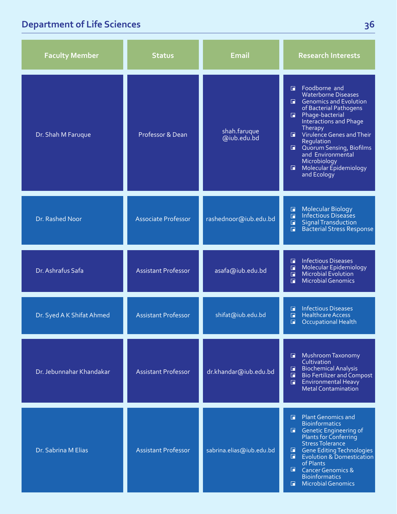## **Department of Life Sciences**

| <b>Faculty Member</b>     | <b>Status</b>              | <b>Email</b>                | <b>Research Interests</b>                                                                                                                                                                                                                                                                                                                        |
|---------------------------|----------------------------|-----------------------------|--------------------------------------------------------------------------------------------------------------------------------------------------------------------------------------------------------------------------------------------------------------------------------------------------------------------------------------------------|
| Dr. Shah M Faruque        | Professor & Dean           | shah.faruque<br>@iub.edu.bd | Foodborne and<br><b>Waterborne Diseases</b><br>Genomics and Evolution<br>of Bacterial Pathogens<br>Phage-bacterial<br>$\Box$<br><b>Interactions and Phage</b><br>Therapy<br>Virulence Genes and Their<br>G.<br>Regulation<br>Quorum Sensing, Biofilms<br>п.<br>and Environmental<br>Microbiology<br>Molecular Epidemiology<br>п.<br>and Ecology  |
| Dr. Rashed Noor           | <b>Associate Professor</b> | rashednoor@iub.edu.bd       | Molecular Biology<br>Infectious Diseases<br>$\Box$<br>$\Box$<br><b>Signal Transduction</b><br>$\Box$<br><b>Bacterial Stress Response</b><br>$\blacksquare$                                                                                                                                                                                       |
| Dr. Ashrafus Safa         | <b>Assistant Professor</b> | asafa@iub.edu.bd            | <b>Infectious Diseases</b><br>$\Box$<br>Molecular Epidemiology<br>Microbial Evolution<br>$\blacksquare$<br>$\Box$<br><b>Microbial Genomics</b><br>$\Box$                                                                                                                                                                                         |
| Dr. Syed A K Shifat Ahmed | <b>Assistant Professor</b> | shifat@iub.edu.bd           | <b>Infectious Diseases</b><br>F.<br><b>Healthcare Access</b><br>n<br>n<br><b>Occupational Health</b>                                                                                                                                                                                                                                             |
| Dr. Jebunnahar Khandakar  | <b>Assistant Professor</b> | dr.khandar@iub.edu.bd       | Mushroom Taxonomy<br>G.<br>Cultivation<br><b>Biochemical Analysis</b><br>G.<br><b>Bio Fertilizer and Compost</b><br>$\blacksquare$<br><b>Environmental Heavy</b><br>$\blacksquare$<br>Metal Contamination                                                                                                                                        |
| Dr. Sabrina M Elias       | <b>Assistant Professor</b> | sabrina.elias@iub.edu.bd    | <b>Plant Genomics and</b><br>$\Box$<br><b>Bioinformatics</b><br>Genetic Engineering of<br>Plants for Conferring<br><b>Stress Tolerance</b><br><b>Gene Editing Technologies</b><br>G,<br><b>Evolution &amp; Domestication</b><br>$\blacksquare$<br>of Plants<br>G.<br><b>Cancer Genomics &amp;</b><br><b>Bioinformatics</b><br>Microbial Genomics |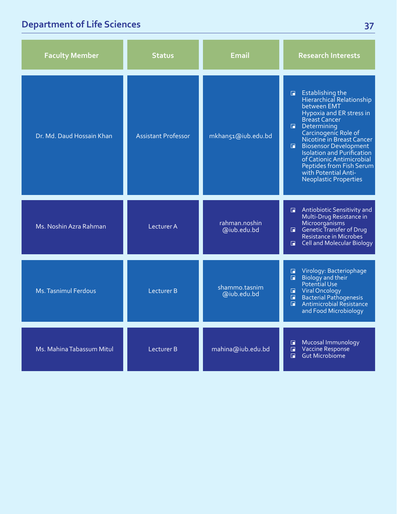## **Department of Life Sciences**

| <b>Faculty Member</b>     | <b>Status</b>              | <b>Email</b>                 | <b>Research Interests</b>                                                                                                                                                                                                                                                                                                                                                                                         |
|---------------------------|----------------------------|------------------------------|-------------------------------------------------------------------------------------------------------------------------------------------------------------------------------------------------------------------------------------------------------------------------------------------------------------------------------------------------------------------------------------------------------------------|
| Dr. Md. Daud Hossain Khan | <b>Assistant Professor</b> | mkhan51@iub.edu.bd           | <b>Establishing the</b><br>$\blacksquare$<br>Hierarchical Relationship<br>between EMT<br>Hypoxia and ER stress in<br><b>Breast Cancer</b><br><b>Determining</b><br>Carcinogenic Role of<br>Nicotine in Breast Cancer<br><b>Biosensor Development</b><br><b>Isolation and Purification</b><br>of Cationic Antimicrobial<br><b>Peptides from Fish Serum</b><br>with Potential Anti-<br><b>Neoplastic Properties</b> |
| Ms. Noshin Azra Rahman    | Lecturer A                 | rahman.noshin<br>@iub.edu.bd | Antiobiotic Sensitivity and<br>п.<br>Multi-Drug Resistance in<br>Microorganisms<br>$\Box$ Genetic Transfer of Drug<br>Resistance in Microbes<br>Cell and Molecular Biology<br>$\blacksquare$                                                                                                                                                                                                                      |
| Ms. Tasnimul Ferdous      | Lecturer B                 | shammo.tasnim<br>@iub.edu.bd | Virology: Bacteriophage<br>П<br>Biology and their<br>$\Box$<br>Potential Use<br>Viral Oncology<br>Bacterial Pathogenesis<br>П.<br>п<br>$\Box$<br>Antimicrobial Resistance<br>and Food Microbiology                                                                                                                                                                                                                |
| Ms. Mahina Tabassum Mitul | Lecturer B                 | mahina@iub.edu.bd            | Mucosal Immunology<br>Vaccine Response<br>o<br>$\Box$<br>Gut Microbiome<br>$\Box$                                                                                                                                                                                                                                                                                                                                 |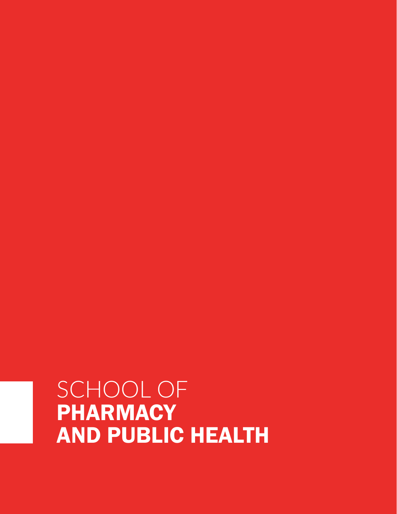## SCHOOL OF **PHARMACY** AND PUBLIC HEALTH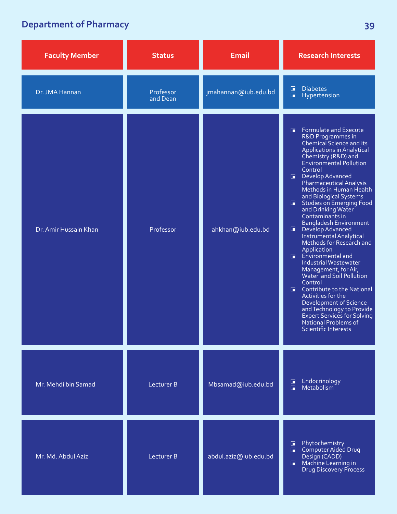### **Department of Pharmacy**

| <b>Faculty Member</b> | <b>Status</b>         | <b>Email</b>          | <b>Research Interests</b>                                                                                                                                                                                                                                                                                                                                                                                                                                                                                                                                                                                                                                                                                                                                                                                                                                        |
|-----------------------|-----------------------|-----------------------|------------------------------------------------------------------------------------------------------------------------------------------------------------------------------------------------------------------------------------------------------------------------------------------------------------------------------------------------------------------------------------------------------------------------------------------------------------------------------------------------------------------------------------------------------------------------------------------------------------------------------------------------------------------------------------------------------------------------------------------------------------------------------------------------------------------------------------------------------------------|
| Dr. JMA Hannan        | Professor<br>and Dean | jmahannan@iub.edu.bd  | <b>Diabetes</b><br>$\Box$<br>$\Box$<br>Hypertension                                                                                                                                                                                                                                                                                                                                                                                                                                                                                                                                                                                                                                                                                                                                                                                                              |
| Dr. Amir Hussain Khan | Professor             | ahkhan@iub.edu.bd     | <b>Formulate and Execute</b><br>G.<br>R&D Programmes in<br>Chemical Science and its<br><b>Applications in Analytical</b><br>Chemistry (R&D) and<br><b>Environmental Pollution</b><br>Control<br>Develop Advanced<br><b>Pharmaceutical Analysis</b><br>Methods in Human Health<br>and Biological Systems<br><b>Studies on Emerging Food</b><br>$\Box$<br>and Drinking Water<br>Contaminants in<br><b>Bangladesh Environment</b><br>$\Box$<br>Develop Advanced<br>Instrumental Analytical<br>Methods for Research and<br>Application<br>Environmental and<br>F.<br>Industrial Wastewater<br>Management, for Air,<br>Water and Soil Pollution<br>Control<br>Contribute to the National<br>$\Box$<br>Activities for the<br>Development of Science<br>and Technology to Provide<br><b>Expert Services for Solving</b><br>National Problems of<br>Scientific Interests |
| Mr. Mehdi bin Samad   | Lecturer B            | Mbsamad@iub.edu.bd    | Endocrinology<br>$\Box$<br>Metabolism<br>$\Box$                                                                                                                                                                                                                                                                                                                                                                                                                                                                                                                                                                                                                                                                                                                                                                                                                  |
| Mr. Md. Abdul Aziz    | Lecturer B            | abdul.aziz@iub.edu.bd | Phytochemistry<br>H<br>Computer Aided Drug<br>$\Box$<br>Design (CADD)<br>Machine Learning in<br>$\blacksquare$<br><b>Drug Discovery Process</b>                                                                                                                                                                                                                                                                                                                                                                                                                                                                                                                                                                                                                                                                                                                  |

**39**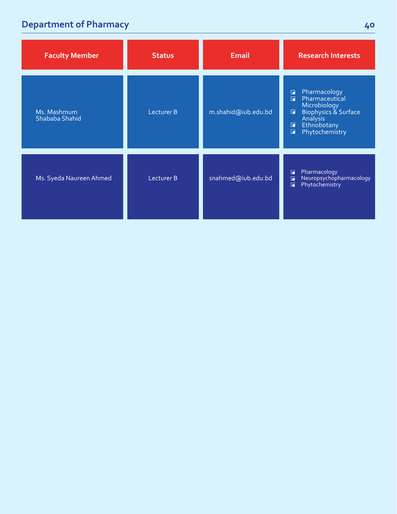### **Department of Pharmacy**

| <b>Faculty Member</b>         | <b>Status</b> | <b>Email</b>        | <b>Research Interests</b>                                                                                                                                           |
|-------------------------------|---------------|---------------------|---------------------------------------------------------------------------------------------------------------------------------------------------------------------|
| Ms. Mashmum<br>Shababa Shahid | Lecturer B    | m.shahid@iub.edu.bd | Pharmacology<br>$\Box$<br>Pharmaceutical<br>Ħ<br>Microbiology<br>Biophysics & Surface<br>$\Box$<br>Analysis<br>Ethnobotany<br>G<br>Phytochemistry<br>$\blacksquare$ |
| Ms. Syeda Naureen Ahmed       | Lecturer B    | snahmed@iub.edu.bd  | Pharmacology<br>$\Box$<br>Neuropsychopharmacology<br>G<br>Phytochemistry<br>$\Box$                                                                                  |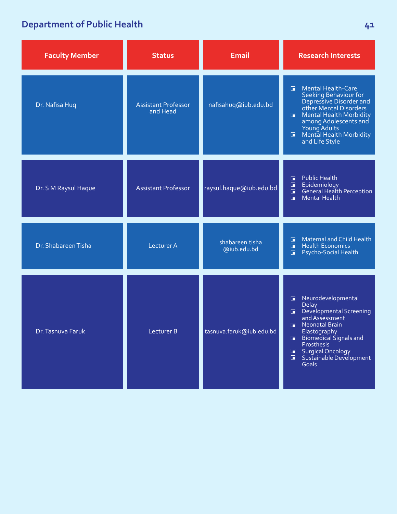### **Department of Public Health**

| <b>Faculty Member</b> | <b>Status</b>                          | <b>Email</b>                   | <b>Research Interests</b>                                                                                                                                                                                                                                                                                     |
|-----------------------|----------------------------------------|--------------------------------|---------------------------------------------------------------------------------------------------------------------------------------------------------------------------------------------------------------------------------------------------------------------------------------------------------------|
| Dr. Nafisa Huq        | <b>Assistant Professor</b><br>and Head | nafisahuq@iub.edu.bd           | Mental Health-Care<br>$\Box$<br>Seeking Behaviour for<br>Depressive Disorder and<br>other Mental Disorders<br>Mental Health Morbidity<br>$\Box$<br>among Adolescents and<br>Young Adults<br><b>Mental Health Morbidity</b><br>$\blacksquare$<br>and Life Style                                                |
| Dr. S M Raysul Haque  | <b>Assistant Professor</b>             | raysul.haque@iub.edu.bd        | <b>Public Health</b><br>$\Box$<br>$\Box$<br>Epidemiology<br>General Health Perception<br>$\Box$<br><b>Mental Health</b><br>$\Box$                                                                                                                                                                             |
| Dr. Shabareen Tisha   | <b>Lecturer A</b>                      | shabareen.tisha<br>@iub.edu.bd | <b>Maternal and Child Health</b><br>П<br><b>Health Economics</b><br>$\Box$<br>Psycho-Social Health<br>П                                                                                                                                                                                                       |
| Dr. Tasnuva Faruk     | Lecturer B                             | tasnuva.faruk@iub.edu.bd       | Neurodevelopmental<br>$\blacksquare$<br>Delay<br>Developmental Screening<br>G.<br>and Assessment<br><b>Neonatal Brain</b><br>F.<br>Elastography<br>Biomedical Signals and<br>$\blacksquare$<br>Prosthesis<br><b>Surgical Oncology</b><br>$\blacksquare$<br>Sustainable Development<br>$\blacksquare$<br>Goals |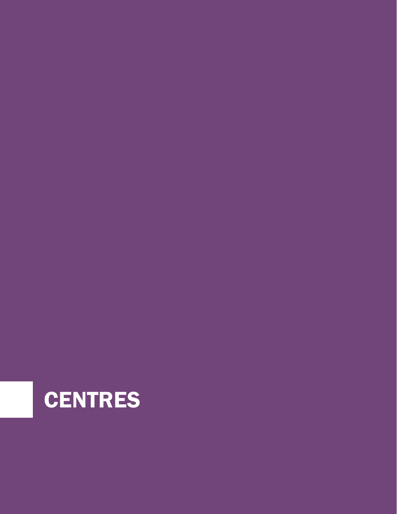